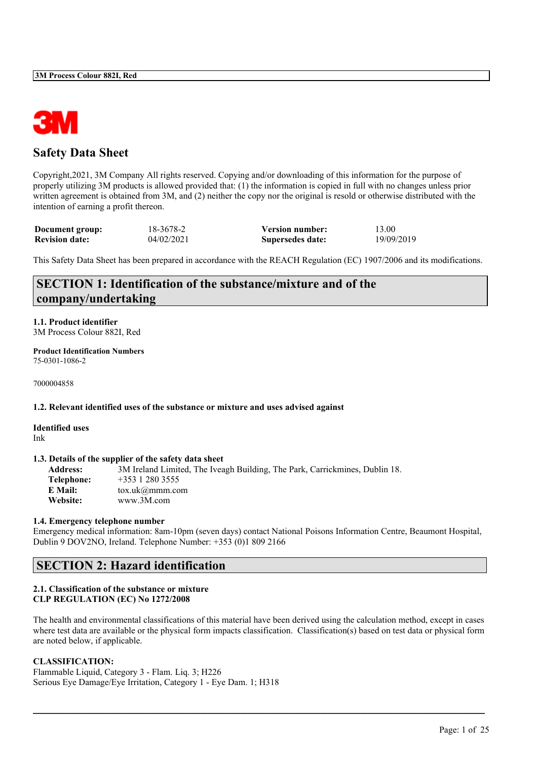

### **Safety Data Sheet**

Copyright,2021, 3M Company All rights reserved. Copying and/or downloading of this information for the purpose of properly utilizing 3M products is allowed provided that: (1) the information is copied in full with no changes unless prior written agreement is obtained from 3M, and (2) neither the copy nor the original is resold or otherwise distributed with the intention of earning a profit thereon.

| Document group:       | 18-3678-2  | <b>Version number:</b> | 13.00      |
|-----------------------|------------|------------------------|------------|
| <b>Revision date:</b> | 04/02/2021 | Supersedes date:       | 19/09/2019 |

This Safety Data Sheet has been prepared in accordance with the REACH Regulation (EC) 1907/2006 and its modifications.

### **SECTION 1: Identification of the substance/mixture and of the company/undertaking**

### **1.1. Product identifier**

3M Process Colour 882I, Red

#### **Product Identification Numbers** 75-0301-1086-2

7000004858

### **1.2. Relevant identified uses of the substance or mixture and uses advised against**

### **Identified uses** Ink

### **1.3. Details of the supplier of the safety data sheet**

**Address:** 3M Ireland Limited, The Iveagh Building, The Park, Carrickmines, Dublin 18. **Telephone:** +353 1 280 3555 **E Mail:** tox.uk@mmm.com **Website:** www.3M.com

### **1.4. Emergency telephone number**

Emergency medical information: 8am-10pm (seven days) contact National Poisons Information Centre, Beaumont Hospital, Dublin 9 DOV2NO, Ireland. Telephone Number: +353 (0)1 809 2166

### **SECTION 2: Hazard identification**

#### **2.1. Classification of the substance or mixture CLP REGULATION (EC) No 1272/2008**

The health and environmental classifications of this material have been derived using the calculation method, except in cases where test data are available or the physical form impacts classification. Classification(s) based on test data or physical form are noted below, if applicable.

 $\mathcal{L}_\mathcal{L} = \mathcal{L}_\mathcal{L} = \mathcal{L}_\mathcal{L} = \mathcal{L}_\mathcal{L} = \mathcal{L}_\mathcal{L} = \mathcal{L}_\mathcal{L} = \mathcal{L}_\mathcal{L} = \mathcal{L}_\mathcal{L} = \mathcal{L}_\mathcal{L} = \mathcal{L}_\mathcal{L} = \mathcal{L}_\mathcal{L} = \mathcal{L}_\mathcal{L} = \mathcal{L}_\mathcal{L} = \mathcal{L}_\mathcal{L} = \mathcal{L}_\mathcal{L} = \mathcal{L}_\mathcal{L} = \mathcal{L}_\mathcal{L}$ 

### **CLASSIFICATION:**

Flammable Liquid, Category 3 - Flam. Liq. 3; H226 Serious Eye Damage/Eye Irritation, Category 1 - Eye Dam. 1; H318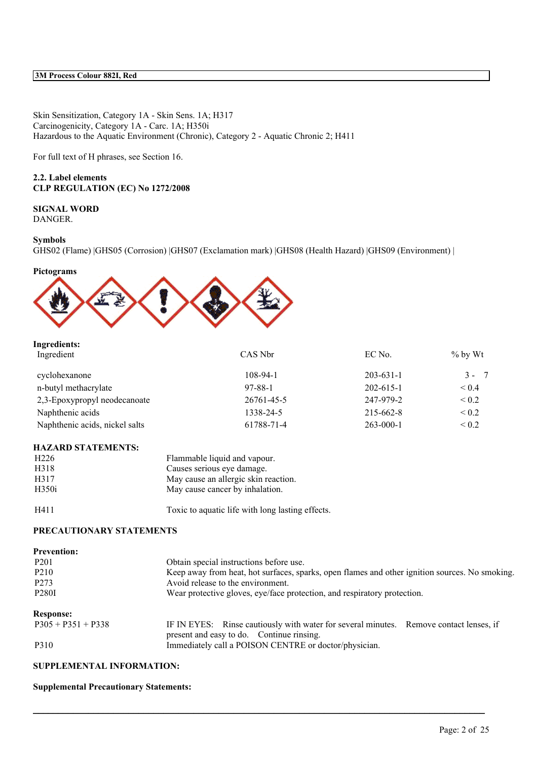Skin Sensitization, Category 1A - Skin Sens. 1A; H317 Carcinogenicity, Category 1A - Carc. 1A; H350i Hazardous to the Aquatic Environment (Chronic), Category 2 - Aquatic Chronic 2; H411

For full text of H phrases, see Section 16.

### **2.2. Label elements CLP REGULATION (EC) No 1272/2008**

### **SIGNAL WORD**

DANGER.

### **Symbols**

GHS02 (Flame) |GHS05 (Corrosion) |GHS07 (Exclamation mark) |GHS08 (Health Hazard) |GHS09 (Environment) |

### **Pictograms**



| Ingredients:                   |            |                 |            |
|--------------------------------|------------|-----------------|------------|
| Ingredient                     | CAS Nbr    | EC No.          | $\%$ by Wt |
| cyclohexanone                  | $108-94-1$ | $203 - 631 - 1$ | $3 - 7$    |
| n-butyl methacrylate           | 97-88-1    | $202 - 615 - 1$ | ${}_{0.4}$ |
| 2,3-Epoxypropyl neodecanoate   | 26761-45-5 | 247-979-2       | ${}_{0.2}$ |
| Naphthenic acids               | 1338-24-5  | 215-662-8       | ${}_{0.2}$ |
| Naphthenic acids, nickel salts | 61788-71-4 | $263 - 000 - 1$ | ${}_{0.2}$ |
|                                |            |                 |            |

### **HAZARD STATEMENTS:**

| H <sub>226</sub> | Flammable liquid and vapour.         |
|------------------|--------------------------------------|
| H318             | Causes serious eye damage.           |
| H317             | May cause an allergic skin reaction. |
| H350i            | May cause cancer by inhalation.      |
|                  |                                      |

H411 Toxic to aquatic life with long lasting effects.

### **PRECAUTIONARY STATEMENTS**

| <b>Prevention:</b>   |                                                                                                                                     |  |
|----------------------|-------------------------------------------------------------------------------------------------------------------------------------|--|
| P <sub>201</sub>     | Obtain special instructions before use.                                                                                             |  |
| P <sub>2</sub> 10    | Keep away from heat, hot surfaces, sparks, open flames and other ignition sources. No smoking.                                      |  |
| P <sub>273</sub>     | Avoid release to the environment.                                                                                                   |  |
| P <sub>280</sub> I   | Wear protective gloves, eye/face protection, and respiratory protection.                                                            |  |
| <b>Response:</b>     |                                                                                                                                     |  |
| $P305 + P351 + P338$ | IF IN EYES: Rinse cautiously with water for several minutes. Remove contact lenses, if<br>present and easy to do. Continue rinsing. |  |
| P310                 | Immediately call a POISON CENTRE or doctor/physician.                                                                               |  |

 $\mathcal{L}_\mathcal{L} = \mathcal{L}_\mathcal{L} = \mathcal{L}_\mathcal{L} = \mathcal{L}_\mathcal{L} = \mathcal{L}_\mathcal{L} = \mathcal{L}_\mathcal{L} = \mathcal{L}_\mathcal{L} = \mathcal{L}_\mathcal{L} = \mathcal{L}_\mathcal{L} = \mathcal{L}_\mathcal{L} = \mathcal{L}_\mathcal{L} = \mathcal{L}_\mathcal{L} = \mathcal{L}_\mathcal{L} = \mathcal{L}_\mathcal{L} = \mathcal{L}_\mathcal{L} = \mathcal{L}_\mathcal{L} = \mathcal{L}_\mathcal{L}$ 

**SUPPLEMENTAL INFORMATION:**

### **Supplemental Precautionary Statements:**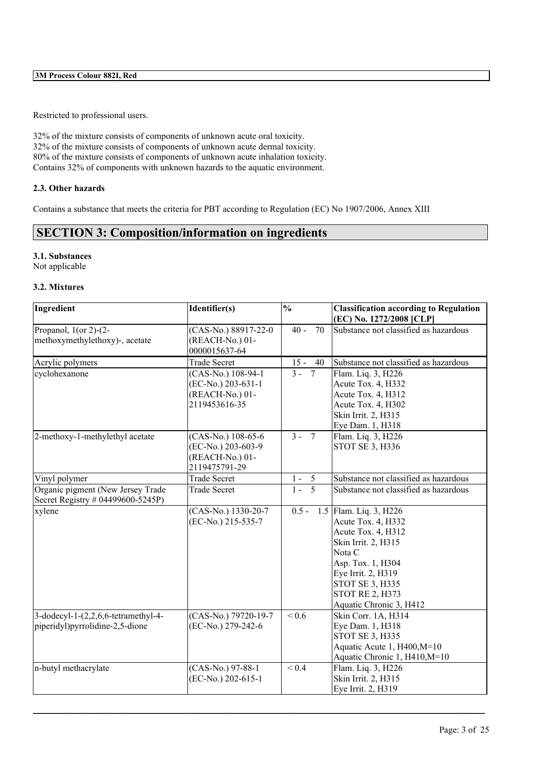Restricted to professional users.

32% of the mixture consists of components of unknown acute oral toxicity. 32% of the mixture consists of components of unknown acute dermal toxicity. 80% of the mixture consists of components of unknown acute inhalation toxicity. Contains 32% of components with unknown hazards to the aquatic environment.

### **2.3. Other hazards**

Contains a substance that meets the criteria for PBT according to Regulation (EC) No 1907/2006, Annex XIII

## **SECTION 3: Composition/information on ingredients**

### **3.1. Substances**

Not applicable

### **3.2. Mixtures**

| Ingredient                                                                 | Identifier(s)                                                                | $\frac{0}{0}$                       | <b>Classification according to Regulation</b><br>(EC) No. 1272/2008 [CLP]                                                                                                                                                     |
|----------------------------------------------------------------------------|------------------------------------------------------------------------------|-------------------------------------|-------------------------------------------------------------------------------------------------------------------------------------------------------------------------------------------------------------------------------|
| Propanol, $1$ (or 2)-(2-<br>methoxymethylethoxy)-, acetate                 | $\overline{\text{(CAS-No.)}}$ 88917-22-0<br>(REACH-No.) 01-<br>0000015637-64 | 70<br>$40 -$                        | Substance not classified as hazardous                                                                                                                                                                                         |
| Acrylic polymers                                                           | <b>Trade Secret</b>                                                          | $15 -$<br>40                        | Substance not classified as hazardous                                                                                                                                                                                         |
| cyclohexanone                                                              | (CAS-No.) 108-94-1<br>(EC-No.) 203-631-1<br>(REACH-No.) 01-<br>2119453616-35 | $\overline{3}$ –<br>$7\overline{ }$ | Flam. Liq. 3, H226<br>Acute Tox. 4, H332<br>Acute Tox. 4, H312<br>Acute Tox. 4, H302<br>Skin Irrit. 2, H315<br>Eye Dam. 1, H318                                                                                               |
| 2-methoxy-1-methylethyl acetate                                            | (CAS-No.) 108-65-6<br>(EC-No.) 203-603-9<br>(REACH-No.) 01-<br>2119475791-29 | $3 - 7$                             | Flam. Liq. 3, H226<br><b>STOT SE 3, H336</b>                                                                                                                                                                                  |
| Vinyl polymer                                                              | <b>Trade Secret</b>                                                          | $1 - 5$                             | Substance not classified as hazardous                                                                                                                                                                                         |
| Organic pigment (New Jersey Trade<br>Secret Registry # 04499600-5245P)     | <b>Trade Secret</b>                                                          | $\overline{5}$<br>$1 -$             | Substance not classified as hazardous                                                                                                                                                                                         |
| xylene                                                                     | (CAS-No.) 1330-20-7<br>(EC-No.) 215-535-7                                    | $0.5 -$                             | 1.5 Flam. Liq. 3, H226<br>Acute Tox. 4, H332<br>Acute Tox. 4, H312<br>Skin Irrit. 2, H315<br>Nota C<br>Asp. Tox. 1, H304<br>Eye Irrit. 2, H319<br><b>STOT SE 3, H335</b><br><b>STOT RE 2, H373</b><br>Aquatic Chronic 3, H412 |
| 3-dodecyl-1- $(2,2,6,6$ -tetramethyl-4-<br>piperidyl)pyrrolidine-2,5-dione | (CAS-No.) 79720-19-7<br>(EC-No.) 279-242-6                                   | ${}_{0.6}$                          | Skin Corr. 1A, H314<br>Eye Dam. 1, H318<br>STOT SE 3, H335<br>Aquatic Acute 1, H400, M=10<br>Aquatic Chronic 1, H410, M=10                                                                                                    |
| n-butyl methacrylate                                                       | $(CAS-No.)$ 97-88-1<br>(EC-No.) 202-615-1                                    | ${}_{0.4}$                          | Flam. Liq. 3, H226<br>Skin Irrit. 2, H315<br>Eye Irrit. 2, H319                                                                                                                                                               |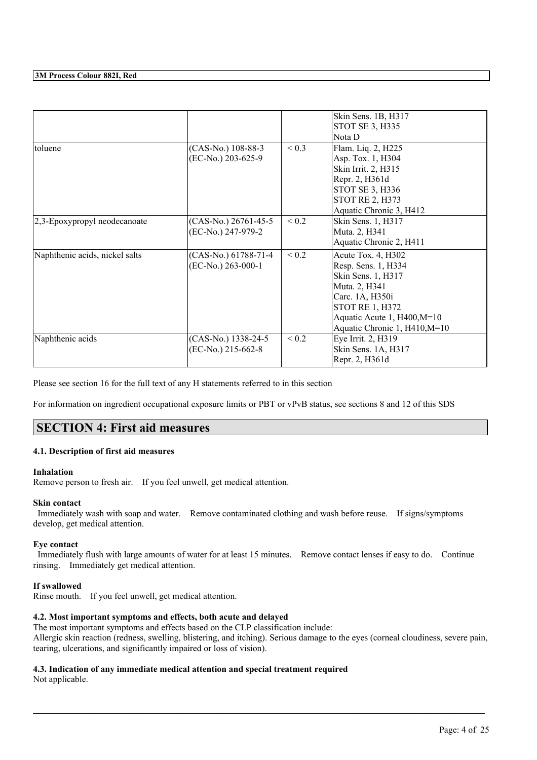|                                |                                              |            | Skin Sens. 1B, H317<br><b>STOT SE 3, H335</b><br>Nota D                                                                                                                                       |
|--------------------------------|----------------------------------------------|------------|-----------------------------------------------------------------------------------------------------------------------------------------------------------------------------------------------|
| toluene                        | (CAS-No.) 108-88-3<br>(EC-No.) 203-625-9     | ${}_{0.3}$ | Flam. Liq. 2, H225<br>Asp. Tox. 1, H304<br>Skin Irrit. 2, H315<br>Repr. 2, H361d<br>STOT SE 3, H336<br><b>STOT RE 2, H373</b><br>Aquatic Chronic 3, H412                                      |
| 2,3-Epoxypropyl neodecanoate   | (CAS-No.) 26761-45-5<br>(EC-No.) 247-979-2   | ${}_{0.2}$ | Skin Sens. 1, H317<br>Muta. 2, H341<br>Aquatic Chronic 2, H411                                                                                                                                |
| Naphthenic acids, nickel salts | (CAS-No.) 61788-71-4<br>$(EC-No.) 263-000-1$ | ${}_{0.2}$ | Acute Tox. 4, H302<br>Resp. Sens. 1, H334<br>Skin Sens. 1, H317<br>Muta. 2, H341<br>Carc. 1A, H350i<br><b>STOT RE 1, H372</b><br>Aquatic Acute 1, H400, M=10<br>Aquatic Chronic 1, H410, M=10 |
| Naphthenic acids               | (CAS-No.) 1338-24-5<br>(EC-No.) 215-662-8    | ${}_{0.2}$ | Eye Irrit. 2, H319<br>Skin Sens. 1A, H317<br>Repr. 2, H361d                                                                                                                                   |

Please see section 16 for the full text of any H statements referred to in this section

For information on ingredient occupational exposure limits or PBT or vPvB status, see sections 8 and 12 of this SDS

### **SECTION 4: First aid measures**

### **4.1. Description of first aid measures**

#### **Inhalation**

Remove person to fresh air. If you feel unwell, get medical attention.

#### **Skin contact**

Immediately wash with soap and water. Remove contaminated clothing and wash before reuse. If signs/symptoms develop, get medical attention.

#### **Eye contact**

Immediately flush with large amounts of water for at least 15 minutes. Remove contact lenses if easy to do. Continue rinsing. Immediately get medical attention.

### **If swallowed**

Rinse mouth. If you feel unwell, get medical attention.

### **4.2. Most important symptoms and effects, both acute and delayed**

The most important symptoms and effects based on the CLP classification include: Allergic skin reaction (redness, swelling, blistering, and itching). Serious damage to the eyes (corneal cloudiness, severe pain, tearing, ulcerations, and significantly impaired or loss of vision).

 $\mathcal{L}_\mathcal{L} = \mathcal{L}_\mathcal{L} = \mathcal{L}_\mathcal{L} = \mathcal{L}_\mathcal{L} = \mathcal{L}_\mathcal{L} = \mathcal{L}_\mathcal{L} = \mathcal{L}_\mathcal{L} = \mathcal{L}_\mathcal{L} = \mathcal{L}_\mathcal{L} = \mathcal{L}_\mathcal{L} = \mathcal{L}_\mathcal{L} = \mathcal{L}_\mathcal{L} = \mathcal{L}_\mathcal{L} = \mathcal{L}_\mathcal{L} = \mathcal{L}_\mathcal{L} = \mathcal{L}_\mathcal{L} = \mathcal{L}_\mathcal{L}$ 

### **4.3. Indication of any immediate medical attention and special treatment required**

Not applicable.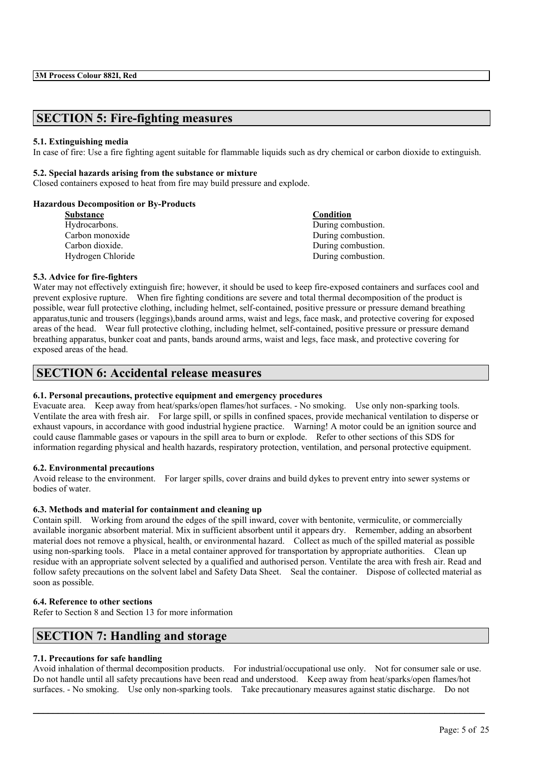### **SECTION 5: Fire-fighting measures**

### **5.1. Extinguishing media**

In case of fire: Use a fire fighting agent suitable for flammable liquids such as dry chemical or carbon dioxide to extinguish.

### **5.2. Special hazards arising from the substance or mixture**

Closed containers exposed to heat from fire may build pressure and explode.

### **Hazardous Decomposition or By-Products**

| <b>Substance</b>  | Condition          |
|-------------------|--------------------|
| Hydrocarbons.     | During combustion. |
| Carbon monoxide   | During combustion. |
| Carbon dioxide.   | During combustion. |
| Hydrogen Chloride | During combustion. |
|                   |                    |

### **5.3. Advice for fire-fighters**

Water may not effectively extinguish fire; however, it should be used to keep fire-exposed containers and surfaces cool and prevent explosive rupture. When fire fighting conditions are severe and total thermal decomposition of the product is possible, wear full protective clothing, including helmet, self-contained, positive pressure or pressure demand breathing apparatus,tunic and trousers (leggings),bands around arms, waist and legs, face mask, and protective covering for exposed areas of the head. Wear full protective clothing, including helmet, self-contained, positive pressure or pressure demand breathing apparatus, bunker coat and pants, bands around arms, waist and legs, face mask, and protective covering for exposed areas of the head.

### **SECTION 6: Accidental release measures**

### **6.1. Personal precautions, protective equipment and emergency procedures**

Evacuate area. Keep away from heat/sparks/open flames/hot surfaces. - No smoking. Use only non-sparking tools. Ventilate the area with fresh air. For large spill, or spills in confined spaces, provide mechanical ventilation to disperse or exhaust vapours, in accordance with good industrial hygiene practice. Warning! A motor could be an ignition source and could cause flammable gases or vapours in the spill area to burn or explode. Refer to other sections of this SDS for information regarding physical and health hazards, respiratory protection, ventilation, and personal protective equipment.

### **6.2. Environmental precautions**

Avoid release to the environment. For larger spills, cover drains and build dykes to prevent entry into sewer systems or bodies of water.

### **6.3. Methods and material for containment and cleaning up**

Contain spill. Working from around the edges of the spill inward, cover with bentonite, vermiculite, or commercially available inorganic absorbent material. Mix in sufficient absorbent until it appears dry. Remember, adding an absorbent material does not remove a physical, health, or environmental hazard. Collect as much of the spilled material as possible using non-sparking tools. Place in a metal container approved for transportation by appropriate authorities. Clean up residue with an appropriate solvent selected by a qualified and authorised person. Ventilate the area with fresh air. Read and follow safety precautions on the solvent label and Safety Data Sheet. Seal the container. Dispose of collected material as soon as possible.

### **6.4. Reference to other sections**

Refer to Section 8 and Section 13 for more information

### **SECTION 7: Handling and storage**

### **7.1. Precautions for safe handling**

Avoid inhalation of thermal decomposition products. For industrial/occupational use only. Not for consumer sale or use. Do not handle until all safety precautions have been read and understood. Keep away from heat/sparks/open flames/hot surfaces. - No smoking. Use only non-sparking tools. Take precautionary measures against static discharge. Do not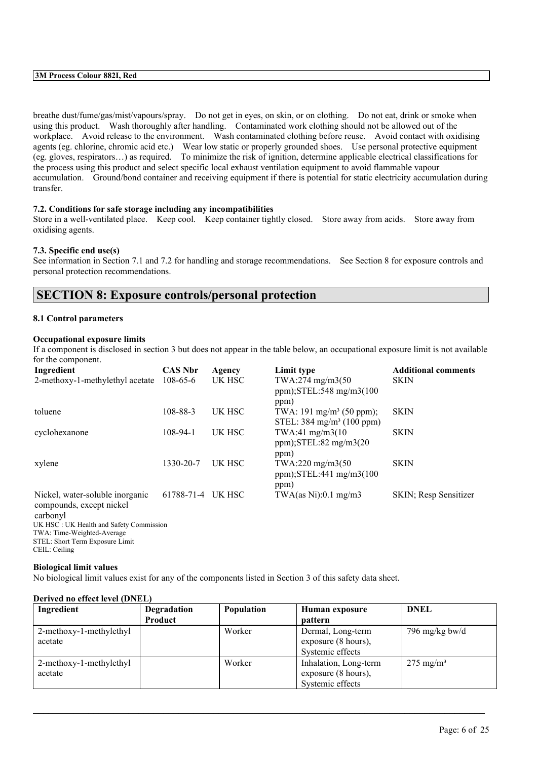breathe dust/fume/gas/mist/vapours/spray. Do not get in eyes, on skin, or on clothing. Do not eat, drink or smoke when using this product. Wash thoroughly after handling. Contaminated work clothing should not be allowed out of the workplace. Avoid release to the environment. Wash contaminated clothing before reuse. Avoid contact with oxidising agents (eg. chlorine, chromic acid etc.) Wear low static or properly grounded shoes. Use personal protective equipment (eg. gloves, respirators…) as required. To minimize the risk of ignition, determine applicable electrical classifications for the process using this product and select specific local exhaust ventilation equipment to avoid flammable vapour accumulation. Ground/bond container and receiving equipment if there is potential for static electricity accumulation during transfer.

### **7.2. Conditions for safe storage including any incompatibilities**

Store in a well-ventilated place. Keep cool. Keep container tightly closed. Store away from acids. Store away from oxidising agents.

### **7.3. Specific end use(s)**

See information in Section 7.1 and 7.2 for handling and storage recommendations. See Section 8 for exposure controls and personal protection recommendations.

### **SECTION 8: Exposure controls/personal protection**

#### **8.1 Control parameters**

### **Occupational exposure limits**

If a component is disclosed in section 3 but does not appear in the table below, an occupational exposure limit is not available for the component.

| Ingredient                                                              | <b>CAS Nbr</b> | Agency | Limit type                                                                   | <b>Additional comments</b> |
|-------------------------------------------------------------------------|----------------|--------|------------------------------------------------------------------------------|----------------------------|
| 2-methoxy-1-methylethyl acetate                                         | $108 - 65 - 6$ | UK HSC | TWA:274 mg/m3(50<br>ppm); $STEL:548$ mg/m $3(100$<br>ppm)                    | <b>SKIN</b>                |
| toluene                                                                 | 108-88-3       | UK HSC | TWA: 191 mg/m <sup>3</sup> (50 ppm);<br>STEL: $384 \text{ mg/m}^3$ (100 ppm) | <b>SKIN</b>                |
| cyclohexanone                                                           | 108-94-1       | UK HSC | TWA:41 mg/m3(10)<br>$ppm)$ ; STEL: 82 mg/m $3(20)$<br>ppm)                   | <b>SKIN</b>                |
| xylene                                                                  | 1330-20-7      | UK HSC | $TWA:220$ mg/m $3(50)$<br>ppm); $STEL:441$ mg/m $3(100$<br>ppm)              | <b>SKIN</b>                |
| Nickel, water-soluble inorganic<br>compounds, except nickel<br>carbonyl | 61788-71-4     | UK HSC | TWA $(as Ni): 0.1 mg/m3$                                                     | SKIN; Resp Sensitizer      |

carbonyl UK HSC : UK Health and Safety Commission TWA: Time-Weighted-Average STEL: Short Term Exposure Limit CEIL: Ceiling

#### **Biological limit values**

No biological limit values exist for any of the components listed in Section 3 of this safety data sheet.

| Ingredient              | Degradation | <b>Population</b> | Human exposure        | <b>DNEL</b>          |
|-------------------------|-------------|-------------------|-----------------------|----------------------|
|                         | Product     |                   | <b>pattern</b>        |                      |
| 2-methoxy-1-methylethyl |             | Worker            | Dermal, Long-term     | 796 mg/kg bw/d       |
| acetate                 |             |                   | exposure (8 hours),   |                      |
|                         |             |                   | Systemic effects      |                      |
| 2-methoxy-1-methylethyl |             | Worker            | Inhalation, Long-term | $275 \text{ mg/m}^3$ |
| acetate                 |             |                   | exposure (8 hours),   |                      |
|                         |             |                   | Systemic effects      |                      |

 $\mathcal{L}_\mathcal{L} = \mathcal{L}_\mathcal{L} = \mathcal{L}_\mathcal{L} = \mathcal{L}_\mathcal{L} = \mathcal{L}_\mathcal{L} = \mathcal{L}_\mathcal{L} = \mathcal{L}_\mathcal{L} = \mathcal{L}_\mathcal{L} = \mathcal{L}_\mathcal{L} = \mathcal{L}_\mathcal{L} = \mathcal{L}_\mathcal{L} = \mathcal{L}_\mathcal{L} = \mathcal{L}_\mathcal{L} = \mathcal{L}_\mathcal{L} = \mathcal{L}_\mathcal{L} = \mathcal{L}_\mathcal{L} = \mathcal{L}_\mathcal{L}$ 

### **Derived no effect level (DNEL)**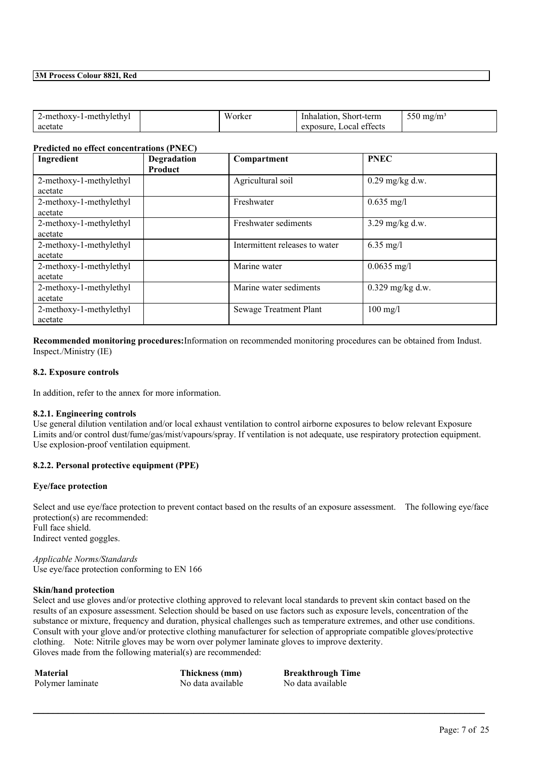| 2-methoxy-1-methylethyl | W.<br>√orker | Short-term<br>Inhalation,             | $- - -$<br>550 mg/m <sup>3</sup> |
|-------------------------|--------------|---------------------------------------|----------------------------------|
| acetate                 |              | $\alpha$<br>Local effects<br>exposure |                                  |

#### **Predicted no effect concentrations (PNEC)**

| Ingredient                         | <b>Degradation</b><br>Product | Compartment                    | <b>PNEC</b>        |
|------------------------------------|-------------------------------|--------------------------------|--------------------|
| 2-methoxy-1-methylethyl<br>acetate |                               | Agricultural soil              | $0.29$ mg/kg d.w.  |
| 2-methoxy-1-methylethyl<br>acetate |                               | Freshwater                     | $0.635$ mg/l       |
| 2-methoxy-1-methylethyl<br>acetate |                               | Freshwater sediments           | $3.29$ mg/kg d.w.  |
| 2-methoxy-1-methylethyl<br>acetate |                               | Intermittent releases to water | $6.35$ mg/l        |
| 2-methoxy-1-methylethyl<br>acetate |                               | Marine water                   | $0.0635$ mg/l      |
| 2-methoxy-1-methylethyl<br>acetate |                               | Marine water sediments         | $0.329$ mg/kg d.w. |
| 2-methoxy-1-methylethyl<br>acetate |                               | <b>Sewage Treatment Plant</b>  | $100 \text{ mg/l}$ |

**Recommended monitoring procedures:**Information on recommended monitoring procedures can be obtained from Indust. Inspect./Ministry (IE)

### **8.2. Exposure controls**

In addition, refer to the annex for more information.

#### **8.2.1. Engineering controls**

Use general dilution ventilation and/or local exhaust ventilation to control airborne exposures to below relevant Exposure Limits and/or control dust/fume/gas/mist/vapours/spray. If ventilation is not adequate, use respiratory protection equipment. Use explosion-proof ventilation equipment.

#### **8.2.2. Personal protective equipment (PPE)**

#### **Eye/face protection**

Select and use eye/face protection to prevent contact based on the results of an exposure assessment. The following eye/face protection(s) are recommended: Full face shield. Indirect vented goggles.

*Applicable Norms/Standards* Use eye/face protection conforming to EN 166

#### **Skin/hand protection**

Select and use gloves and/or protective clothing approved to relevant local standards to prevent skin contact based on the results of an exposure assessment. Selection should be based on use factors such as exposure levels, concentration of the substance or mixture, frequency and duration, physical challenges such as temperature extremes, and other use conditions. Consult with your glove and/or protective clothing manufacturer for selection of appropriate compatible gloves/protective clothing. Note: Nitrile gloves may be worn over polymer laminate gloves to improve dexterity. Gloves made from the following material(s) are recommended:

 $\mathcal{L}_\mathcal{L} = \mathcal{L}_\mathcal{L} = \mathcal{L}_\mathcal{L} = \mathcal{L}_\mathcal{L} = \mathcal{L}_\mathcal{L} = \mathcal{L}_\mathcal{L} = \mathcal{L}_\mathcal{L} = \mathcal{L}_\mathcal{L} = \mathcal{L}_\mathcal{L} = \mathcal{L}_\mathcal{L} = \mathcal{L}_\mathcal{L} = \mathcal{L}_\mathcal{L} = \mathcal{L}_\mathcal{L} = \mathcal{L}_\mathcal{L} = \mathcal{L}_\mathcal{L} = \mathcal{L}_\mathcal{L} = \mathcal{L}_\mathcal{L}$ 

Polymer laminate No data available No data available

**Material Thickness (mm) Breakthrough Time**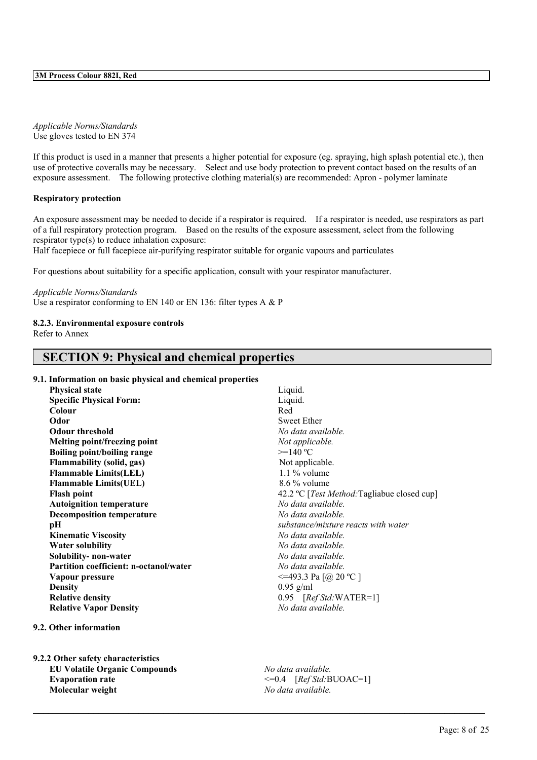*Applicable Norms/Standards* Use gloves tested to EN 374

If this product is used in a manner that presents a higher potential for exposure (eg. spraying, high splash potential etc.), then use of protective coveralls may be necessary. Select and use body protection to prevent contact based on the results of an exposure assessment. The following protective clothing material(s) are recommended: Apron - polymer laminate

### **Respiratory protection**

An exposure assessment may be needed to decide if a respirator is required. If a respirator is needed, use respirators as part of a full respiratory protection program. Based on the results of the exposure assessment, select from the following respirator type(s) to reduce inhalation exposure:

Half facepiece or full facepiece air-purifying respirator suitable for organic vapours and particulates

For questions about suitability for a specific application, consult with your respirator manufacturer.

#### *Applicable Norms/Standards*

Use a respirator conforming to EN 140 or EN 136: filter types A & P

### **8.2.3. Environmental exposure controls**

Refer to Annex

### **SECTION 9: Physical and chemical properties**

- **9.1. Information on basic physical and chemical properties**
	- **Physical state** Liquid. **Specific Physical Form:** Liquid. **Colour** Red **Odor** Sweet Ether **Odour threshold** *No data available.* **Melting point/freezing point** *Not applicable.* **Boiling point/boiling range** >=140 ºC **Flammability** (solid, gas) Not applicable. **Flammable Limits(LEL)** 1.1 % volume **Flammable Limits(UEL)** 8.6 % volume **Autoignition temperature** *No data available.* **Decomposition temperature** *No data available.* **pH** *substance/mixture reacts with water* **Kinematic Viscosity** *No data available.* **Water solubility** *No data available.* **Solubility- non-water** *No data available.* **Partition coefficient: n-octanol/water** *No data available.* **Vapour pressure**  $\leq$   $\leq$  493.3 Pa [@ 20 °C ] **Density** 0.95 g/ml **Relative density** 0.95 [*Ref Std:*WATER=1] **Relative Vapor Density** *No data available.*

#### **9.2. Other information**

**9.2.2 Other safety characteristics EU Volatile Organic Compounds** *No data available.* Evaporation rate  $\leq 0.4$  [*Ref Std:*BUOAC=1] **Molecular weight** *No data available.*

**Flash point** 42.2 °C [*Test Method:* Tagliabue closed cup]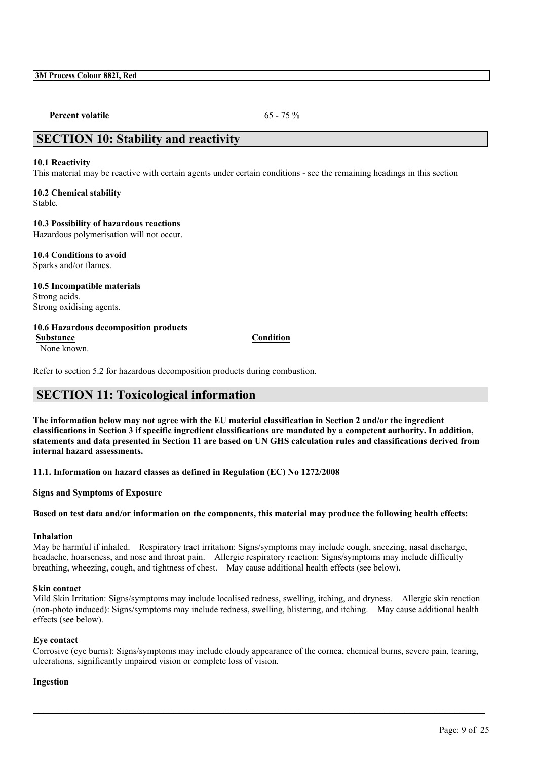**Percent volatile** 65 - 75 %

### **SECTION 10: Stability and reactivity**

### **10.1 Reactivity**

This material may be reactive with certain agents under certain conditions - see the remaining headings in this section

#### **10.2 Chemical stability** Stable.

**10.3 Possibility of hazardous reactions** Hazardous polymerisation will not occur.

**10.4 Conditions to avoid**

Sparks and/or flames.

**10.5 Incompatible materials** Strong acids. Strong oxidising agents.

### **10.6 Hazardous decomposition products**

**Substance Condition**

None known.

Refer to section 5.2 for hazardous decomposition products during combustion.

## **SECTION 11: Toxicological information**

The information below may not agree with the EU material classification in Section 2 and/or the ingredient classifications in Section 3 if specific ingredient classifications are mandated by a competent authority. In addition, statements and data presented in Section 11 are based on UN GHS calculation rules and classifications derived from **internal hazard assessments.**

**11.1. Information on hazard classes as defined in Regulation (EC) No 1272/2008**

**Signs and Symptoms of Exposure**

Based on test data and/or information on the components, this material may produce the following health effects:

### **Inhalation**

May be harmful if inhaled. Respiratory tract irritation: Signs/symptoms may include cough, sneezing, nasal discharge, headache, hoarseness, and nose and throat pain. Allergic respiratory reaction: Signs/symptoms may include difficulty breathing, wheezing, cough, and tightness of chest. May cause additional health effects (see below).

### **Skin contact**

Mild Skin Irritation: Signs/symptoms may include localised redness, swelling, itching, and dryness. Allergic skin reaction (non-photo induced): Signs/symptoms may include redness, swelling, blistering, and itching. May cause additional health effects (see below).

### **Eye contact**

Corrosive (eye burns): Signs/symptoms may include cloudy appearance of the cornea, chemical burns, severe pain, tearing, ulcerations, significantly impaired vision or complete loss of vision.

 $\mathcal{L}_\mathcal{L} = \mathcal{L}_\mathcal{L} = \mathcal{L}_\mathcal{L} = \mathcal{L}_\mathcal{L} = \mathcal{L}_\mathcal{L} = \mathcal{L}_\mathcal{L} = \mathcal{L}_\mathcal{L} = \mathcal{L}_\mathcal{L} = \mathcal{L}_\mathcal{L} = \mathcal{L}_\mathcal{L} = \mathcal{L}_\mathcal{L} = \mathcal{L}_\mathcal{L} = \mathcal{L}_\mathcal{L} = \mathcal{L}_\mathcal{L} = \mathcal{L}_\mathcal{L} = \mathcal{L}_\mathcal{L} = \mathcal{L}_\mathcal{L}$ 

### **Ingestion**

Page: 9 of 25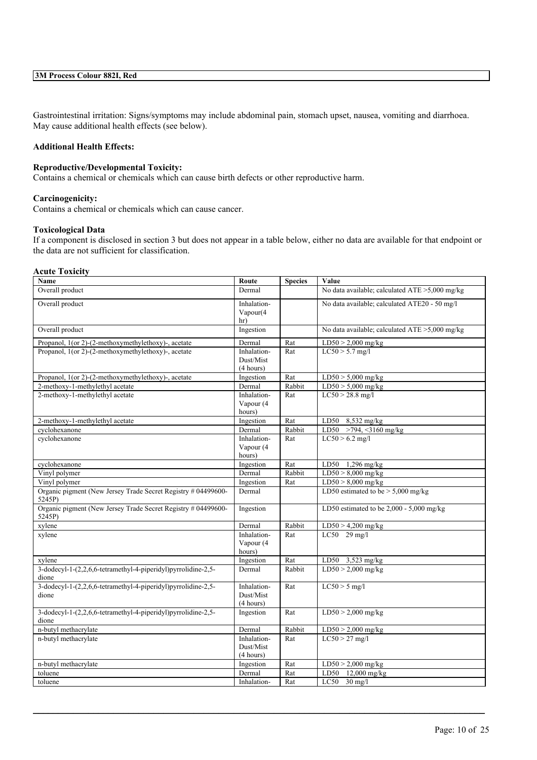Gastrointestinal irritation: Signs/symptoms may include abdominal pain, stomach upset, nausea, vomiting and diarrhoea. May cause additional health effects (see below).

### **Additional Health Effects:**

### **Reproductive/Developmental Toxicity:**

Contains a chemical or chemicals which can cause birth defects or other reproductive harm.

#### **Carcinogenicity:**

Contains a chemical or chemicals which can cause cancer.

### **Toxicological Data**

If a component is disclosed in section 3 but does not appear in a table below, either no data are available for that endpoint or the data are not sufficient for classification.

#### **Acute Toxicity**

| Name                                                                    | Route                                 | <b>Species</b> | Value                                          |
|-------------------------------------------------------------------------|---------------------------------------|----------------|------------------------------------------------|
| Overall product                                                         | Dermal                                |                | No data available; calculated ATE >5,000 mg/kg |
| Overall product                                                         | Inhalation-<br>Vapour(4)<br>hr)       |                | No data available; calculated ATE20 - 50 mg/l  |
| Overall product                                                         | Ingestion                             |                | No data available; calculated ATE >5,000 mg/kg |
| Propanol, 1(or 2)-(2-methoxymethylethoxy)-, acetate                     | Dermal                                | Rat            | $LD50 > 2,000$ mg/kg                           |
| Propanol, 1(or 2)-(2-methoxymethylethoxy)-, acetate                     | Inhalation-<br>Dust/Mist<br>(4 hours) | Rat            | $LC50 > 5.7$ mg/l                              |
| Propanol, 1(or 2)-(2-methoxymethylethoxy)-, acetate                     | Ingestion                             | Rat            | $LD50 > 5,000$ mg/kg                           |
| 2-methoxy-1-methylethyl acetate                                         | Dermal                                | Rabbit         | $LD50 > 5,000$ mg/kg                           |
| 2-methoxy-1-methylethyl acetate                                         | Inhalation-<br>Vapour (4<br>hours)    | Rat            | $LC50 > 28.8$ mg/l                             |
| 2-methoxy-1-methylethyl acetate                                         | Ingestion                             | Rat            | LD50 $8,532$ mg/kg                             |
| cyclohexanone                                                           | Dermal                                | Rabbit         | LD50 >794, <3160 mg/kg                         |
| cyclohexanone                                                           | Inhalation-<br>Vapour (4<br>hours)    | Rat            | $LC50 > 6.2$ mg/l                              |
| cyclohexanone                                                           | Ingestion                             | Rat            | LD50 1,296 mg/kg                               |
| Vinyl polymer                                                           | Dermal                                | Rabbit         | $LD50 > 8,000$ mg/kg                           |
| Vinyl polymer                                                           | Ingestion                             | Rat            | $LD50 > 8,000$ mg/kg                           |
| Organic pigment (New Jersey Trade Secret Registry # 04499600-<br>5245P) | Dermal                                |                | LD50 estimated to be $> 5,000$ mg/kg           |
| Organic pigment (New Jersey Trade Secret Registry # 04499600-<br>5245P) | Ingestion                             |                | LD50 estimated to be $2,000 - 5,000$ mg/kg     |
| xylene                                                                  | Dermal                                | Rabbit         | $LD50 > 4,200$ mg/kg                           |
| xylene                                                                  | Inhalation-<br>Vapour (4<br>hours)    | Rat            | $LC50$ 29 mg/l                                 |
| xylene                                                                  | Ingestion                             | Rat            | LD50 3,523 mg/kg                               |
| 3-dodecyl-1-(2,2,6,6-tetramethyl-4-piperidyl)pyrrolidine-2,5-<br>dione  | Dermal                                | Rabbit         | $LD50 > 2,000$ mg/kg                           |
| 3-dodecyl-1-(2,2,6,6-tetramethyl-4-piperidyl)pyrrolidine-2,5-<br>dione  | Inhalation-<br>Dust/Mist<br>(4 hours) | Rat            | $LC50 > 5$ mg/l                                |
| 3-dodecyl-1-(2,2,6,6-tetramethyl-4-piperidyl)pyrrolidine-2,5-<br>dione  | Ingestion                             | Rat            | $LD50 > 2,000$ mg/kg                           |
| n-butyl methacrylate                                                    | Dermal                                | Rabbit         | $LD50 > 2,000$ mg/kg                           |
| n-butyl methacrylate                                                    | Inhalation-<br>Dust/Mist<br>(4 hours) | Rat            | $LC50 > 27$ mg/l                               |
| n-butyl methacrylate                                                    | Ingestion                             | Rat            | $LD50 > 2,000$ mg/kg                           |
| toluene                                                                 | Dermal                                | Rat            | LD50<br>12,000 mg/kg                           |
| toluene                                                                 | Inhalation-                           | Rat            | LC50<br>$30 \text{ mg/l}$                      |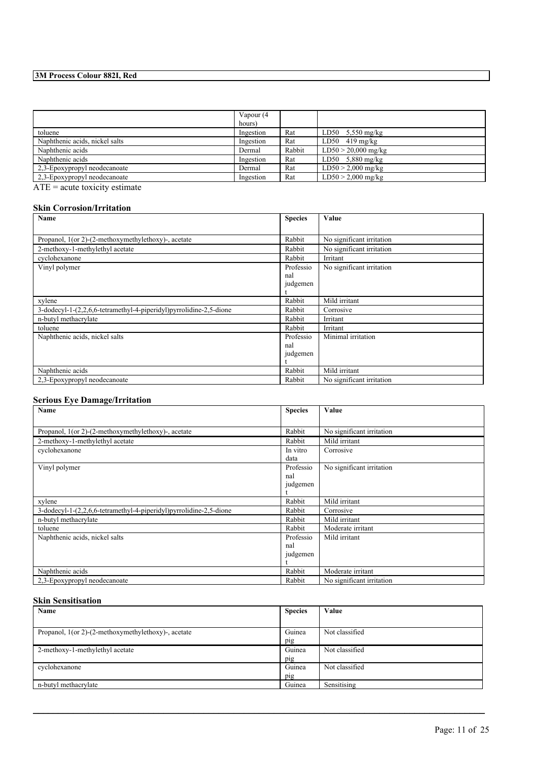|                                | Vapour (4 |        |                            |
|--------------------------------|-----------|--------|----------------------------|
|                                | hours)    |        |                            |
| toluene                        | Ingestion | Rat    | LD50 $5,550 \text{ mg/kg}$ |
| Naphthenic acids, nickel salts | Ingestion | Rat    | $LD50$ 419 mg/kg           |
| Naphthenic acids               | Dermal    | Rabbit | $LD50 > 20,000$ mg/kg      |
| Naphthenic acids               | Ingestion | Rat    | LD50 $5,880$ mg/kg         |
| 2,3-Epoxypropyl neodecanoate   | Dermal    | Rat    | $LD50 > 2,000$ mg/kg       |
| 2,3-Epoxypropyl neodecanoate   | Ingestion | Rat    | $LD50 > 2,000$ mg/kg       |

 $\overline{ATE}$  = acute toxicity estimate

### **Skin Corrosion/Irritation**

| Name                                                               | <b>Species</b> | Value                     |
|--------------------------------------------------------------------|----------------|---------------------------|
|                                                                    |                |                           |
| Propanol, 1(or 2)-(2-methoxymethylethoxy)-, acetate                | Rabbit         | No significant irritation |
| 2-methoxy-1-methylethyl acetate                                    | Rabbit         | No significant irritation |
| cyclohexanone                                                      | Rabbit         | Irritant                  |
| Vinyl polymer                                                      | Professio      | No significant irritation |
|                                                                    | nal            |                           |
|                                                                    | judgemen       |                           |
|                                                                    |                |                           |
| xylene                                                             | Rabbit         | Mild irritant             |
| 3-dodecyl-1-(2,2,6,6-tetramethyl-4-piperidyl)pyrrolidine-2,5-dione | Rabbit         | Corrosive                 |
| n-butyl methacrylate                                               | Rabbit         | Irritant                  |
| toluene                                                            | Rabbit         | Irritant                  |
| Naphthenic acids, nickel salts                                     | Professio      | Minimal irritation        |
|                                                                    | nal            |                           |
|                                                                    | judgemen       |                           |
|                                                                    |                |                           |
| Naphthenic acids                                                   | Rabbit         | Mild irritant             |
| 2,3-Epoxypropyl neodecanoate                                       | Rabbit         | No significant irritation |

### **Serious Eye Damage/Irritation**

| Name                                                               | <b>Species</b> | Value                     |
|--------------------------------------------------------------------|----------------|---------------------------|
|                                                                    |                |                           |
| Propanol, 1(or 2)-(2-methoxymethylethoxy)-, acetate                | Rabbit         | No significant irritation |
| 2-methoxy-1-methylethyl acetate                                    | Rabbit         | Mild irritant             |
| cyclohexanone                                                      | In vitro       | Corrosive                 |
|                                                                    | data           |                           |
| Vinyl polymer                                                      | Professio      | No significant irritation |
|                                                                    | nal            |                           |
|                                                                    | judgemen       |                           |
|                                                                    |                |                           |
| xylene                                                             | Rabbit         | Mild irritant             |
| 3-dodecyl-1-(2,2,6,6-tetramethyl-4-piperidyl)pyrrolidine-2,5-dione | Rabbit         | Corrosive                 |
| n-butyl methacrylate                                               | Rabbit         | Mild irritant             |
| toluene                                                            | Rabbit         | Moderate irritant         |
| Naphthenic acids, nickel salts                                     | Professio      | Mild irritant             |
|                                                                    | nal            |                           |
|                                                                    | judgemen       |                           |
|                                                                    |                |                           |
| Naphthenic acids                                                   | Rabbit         | Moderate irritant         |
| 2,3-Epoxypropyl neodecanoate                                       | Rabbit         | No significant irritation |

### **Skin Sensitisation**

| Name                                                   | <b>Species</b> | Value          |
|--------------------------------------------------------|----------------|----------------|
|                                                        |                |                |
| Propanol, $1$ (or 2)-(2-methoxymethylethoxy)-, acetate | Guinea         | Not classified |
|                                                        | pig            |                |
| 2-methoxy-1-methylethyl acetate                        | Guinea         | Not classified |
|                                                        | pig            |                |
| cyclohexanone                                          | Guinea         | Not classified |
|                                                        | pig            |                |
| n-butyl methacrylate                                   | Guinea         | Sensitising    |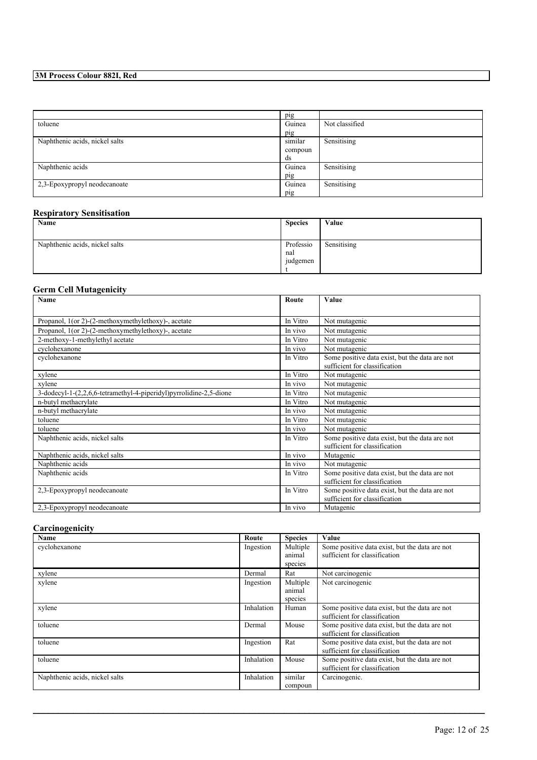|                                | pig     |                |
|--------------------------------|---------|----------------|
| toluene                        | Guinea  | Not classified |
|                                | pig     |                |
| Naphthenic acids, nickel salts | similar | Sensitising    |
|                                | compoun |                |
|                                | ds      |                |
| Naphthenic acids               | Guinea  | Sensitising    |
|                                | pig     |                |
| 2,3-Epoxypropyl neodecanoate   | Guinea  | Sensitising    |
|                                | pig     |                |

### **Respiratory Sensitisation**

| Name                           | <b>Species</b>               | Value       |
|--------------------------------|------------------------------|-------------|
| Naphthenic acids, nickel salts | Professio<br>nal<br>judgemen | Sensitising |

### **Germ Cell Mutagenicity**

| Name                                                               | Route    | Value                                          |  |  |  |
|--------------------------------------------------------------------|----------|------------------------------------------------|--|--|--|
|                                                                    |          |                                                |  |  |  |
| Propanol, 1(or 2)-(2-methoxymethylethoxy)-, acetate                | In Vitro | Not mutagenic                                  |  |  |  |
| Propanol, 1(or 2)-(2-methoxymethylethoxy)-, acetate                | In vivo  | Not mutagenic                                  |  |  |  |
| 2-methoxy-1-methylethyl acetate                                    | In Vitro | Not mutagenic                                  |  |  |  |
| cyclohexanone                                                      | In vivo  | Not mutagenic                                  |  |  |  |
| cyclohexanone                                                      | In Vitro | Some positive data exist, but the data are not |  |  |  |
|                                                                    |          | sufficient for classification                  |  |  |  |
| xylene                                                             | In Vitro | Not mutagenic                                  |  |  |  |
| xylene                                                             | In vivo  | Not mutagenic                                  |  |  |  |
| 3-dodecyl-1-(2,2,6,6-tetramethyl-4-piperidyl)pyrrolidine-2,5-dione | In Vitro | Not mutagenic                                  |  |  |  |
| n-butyl methacrylate                                               | In Vitro | Not mutagenic                                  |  |  |  |
| n-butyl methacrylate                                               | In vivo  | Not mutagenic                                  |  |  |  |
| toluene                                                            | In Vitro | Not mutagenic                                  |  |  |  |
| toluene                                                            | In vivo  | Not mutagenic                                  |  |  |  |
| Naphthenic acids, nickel salts                                     | In Vitro | Some positive data exist, but the data are not |  |  |  |
|                                                                    |          | sufficient for classification                  |  |  |  |
| Naphthenic acids, nickel salts                                     | In vivo  | Mutagenic                                      |  |  |  |
| Naphthenic acids                                                   | In vivo  | Not mutagenic                                  |  |  |  |
| Naphthenic acids                                                   | In Vitro | Some positive data exist, but the data are not |  |  |  |
|                                                                    |          | sufficient for classification                  |  |  |  |
| 2,3-Epoxypropyl neodecanoate                                       | In Vitro | Some positive data exist, but the data are not |  |  |  |
|                                                                    |          | sufficient for classification                  |  |  |  |
| 2,3-Epoxypropyl neodecanoate                                       | In vivo  | Mutagenic                                      |  |  |  |

### **Carcinogenicity**

| Name                           | Route      | <b>Species</b>                | Value                                                                           |
|--------------------------------|------------|-------------------------------|---------------------------------------------------------------------------------|
| cyclohexanone                  | Ingestion  | Multiple<br>animal<br>species | Some positive data exist, but the data are not<br>sufficient for classification |
| xylene                         | Dermal     | Rat                           | Not carcinogenic                                                                |
| xylene                         | Ingestion  | Multiple<br>animal<br>species | Not carcinogenic                                                                |
| xylene                         | Inhalation | Human                         | Some positive data exist, but the data are not<br>sufficient for classification |
| toluene                        | Dermal     | Mouse                         | Some positive data exist, but the data are not<br>sufficient for classification |
| toluene                        | Ingestion  | Rat                           | Some positive data exist, but the data are not<br>sufficient for classification |
| toluene                        | Inhalation | Mouse                         | Some positive data exist, but the data are not<br>sufficient for classification |
| Naphthenic acids, nickel salts | Inhalation | similar<br>compoun            | Carcinogenic.                                                                   |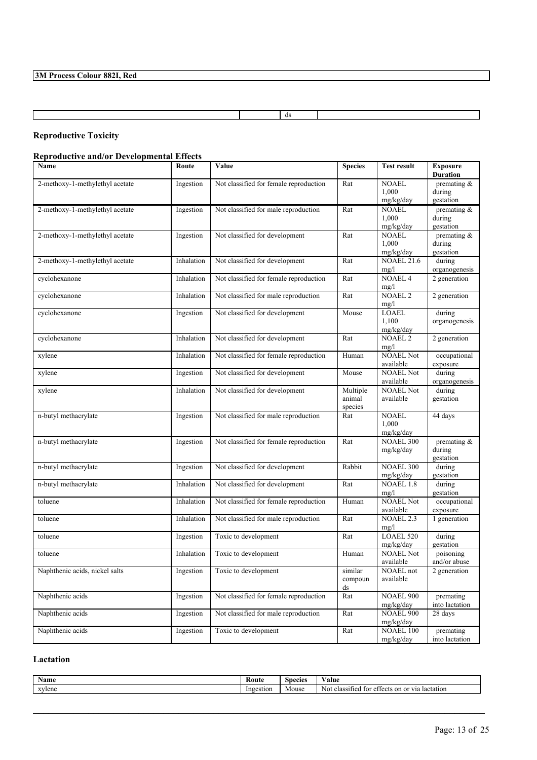ds

### **Reproductive Toxicity**

 $\mathsf I$ 

### **Reproductive and/or Developmental Effects**

| Name                            | Route      | Value                                  | <b>Species</b>                | <b>Test result</b>                 | <b>Exposure</b><br><b>Duration</b>    |
|---------------------------------|------------|----------------------------------------|-------------------------------|------------------------------------|---------------------------------------|
| 2-methoxy-1-methylethyl acetate | Ingestion  | Not classified for female reproduction | Rat                           | <b>NOAEL</b><br>1,000<br>mg/kg/day | premating &<br>during<br>gestation    |
| 2-methoxy-1-methylethyl acetate | Ingestion  | Not classified for male reproduction   | Rat                           | NOAEL<br>1,000<br>mg/kg/day        | premating $\&$<br>during<br>gestation |
| 2-methoxy-1-methylethyl acetate | Ingestion  | Not classified for development         | Rat                           | <b>NOAEL</b><br>1,000<br>mg/kg/day | premating $\&$<br>during<br>gestation |
| 2-methoxy-1-methylethyl acetate | Inhalation | Not classified for development         | Rat                           | <b>NOAEL 21.6</b><br>mg/l          | during<br>organogenesis               |
| cyclohexanone                   | Inhalation | Not classified for female reproduction | Rat                           | <b>NOAEL 4</b><br>mg/l             | 2 generation                          |
| cyclohexanone                   | Inhalation | Not classified for male reproduction   | Rat                           | <b>NOAEL 2</b><br>mg/l             | 2 generation                          |
| cyclohexanone                   | Ingestion  | Not classified for development         | Mouse                         | <b>LOAEL</b><br>1,100<br>mg/kg/day | during<br>organogenesis               |
| cyclohexanone                   | Inhalation | Not classified for development         | Rat                           | <b>NOAEL 2</b><br>mg/l             | 2 generation                          |
| xylene                          | Inhalation | Not classified for female reproduction | Human                         | <b>NOAEL Not</b><br>available      | occupational<br>exposure              |
| xylene                          | Ingestion  | Not classified for development         | Mouse                         | <b>NOAEL Not</b><br>available      | during<br>organogenesis               |
| xylene                          | Inhalation | Not classified for development         | Multiple<br>animal<br>species | <b>NOAEL Not</b><br>available      | during<br>gestation                   |
| n-butyl methacrylate            | Ingestion  | Not classified for male reproduction   | Rat                           | <b>NOAEL</b><br>1,000<br>mg/kg/day | 44 days                               |
| n-butyl methacrylate            | Ingestion  | Not classified for female reproduction | Rat                           | <b>NOAEL 300</b><br>mg/kg/day      | premating &<br>during<br>gestation    |
| n-butyl methacrylate            | Ingestion  | Not classified for development         | Rabbit                        | <b>NOAEL 300</b><br>mg/kg/day      | during<br>gestation                   |
| n-butyl methacrylate            | Inhalation | Not classified for development         | Rat                           | <b>NOAEL 1.8</b><br>mg/l           | during<br>gestation                   |
| toluene                         | Inhalation | Not classified for female reproduction | Human                         | <b>NOAEL Not</b><br>available      | occupational<br>exposure              |
| toluene                         | Inhalation | Not classified for male reproduction   | Rat                           | <b>NOAEL 2.3</b><br>mg/l           | 1 generation                          |
| toluene                         | Ingestion  | Toxic to development                   | Rat                           | LOAEL 520<br>mg/kg/day             | during<br>gestation                   |
| toluene                         | Inhalation | Toxic to development                   | Human                         | <b>NOAEL Not</b><br>available      | poisoning<br>and/or abuse             |
| Naphthenic acids, nickel salts  | Ingestion  | Toxic to development                   | similar<br>compoun<br>ds      | <b>NOAEL</b> not<br>available      | 2 generation                          |
| Naphthenic acids                | Ingestion  | Not classified for female reproduction | Rat                           | NOAEL 900<br>mg/kg/day             | premating<br>into lactation           |
| Naphthenic acids                | Ingestion  | Not classified for male reproduction   | Rat                           | <b>NOAEL 900</b><br>mg/kg/day      | 28 days                               |
| Naphthenic acids                | Ingestion  | Toxic to development                   | Rat                           | NOAEL 100<br>mg/kg/day             | premating<br>into lactation           |

### **Lactation**

| $\mathbf{v}$<br>Name | :Rout     | Species | 'alue                                                                                |
|----------------------|-----------|---------|--------------------------------------------------------------------------------------|
| vvlene               | Ingestion | Mouse   | n.<br>T/T<br>lactation<br>classified<br>tor<br>σtι<br>N0<br>$^{\sim}$<br>-on<br>чесь |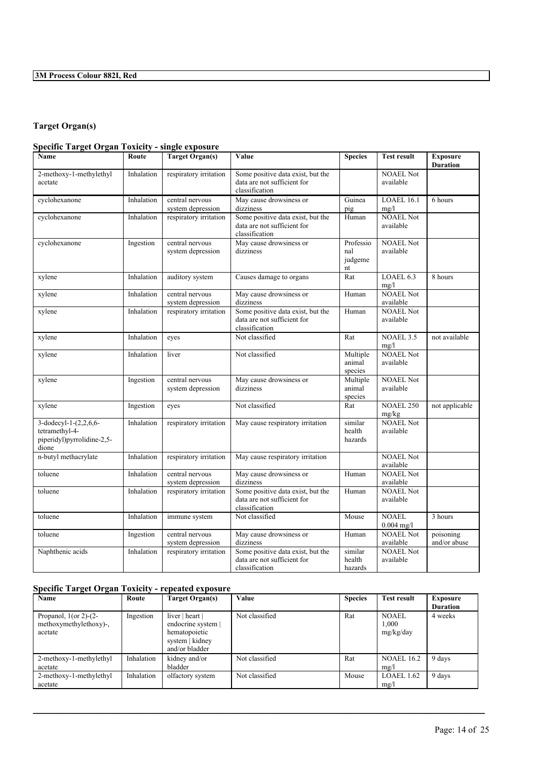### **Target Organ(s)**

### **Specific Target Organ Toxicity - single exposure**

| Name                                                                           | Route      | <b>Target Organ(s)</b>               | Value                                                                              | <b>Species</b>                    | <b>Test result</b>            | <b>Exposure</b><br><b>Duration</b> |
|--------------------------------------------------------------------------------|------------|--------------------------------------|------------------------------------------------------------------------------------|-----------------------------------|-------------------------------|------------------------------------|
| 2-methoxy-1-methylethyl<br>acetate                                             | Inhalation | respiratory irritation               | Some positive data exist, but the<br>data are not sufficient for<br>classification |                                   | <b>NOAEL Not</b><br>available |                                    |
| cyclohexanone                                                                  | Inhalation | central nervous<br>system depression | May cause drowsiness or<br>dizziness                                               | Guinea<br>pig                     | LOAEL 16.1<br>mg/l            | 6 hours                            |
| cyclohexanone                                                                  | Inhalation | respiratory irritation               | Some positive data exist, but the<br>data are not sufficient for<br>classification | Human                             | <b>NOAEL Not</b><br>available |                                    |
| cyclohexanone                                                                  | Ingestion  | central nervous<br>system depression | May cause drowsiness or<br>dizziness                                               | Professio<br>nal<br>judgeme<br>nt | <b>NOAEL Not</b><br>available |                                    |
| xylene                                                                         | Inhalation | auditory system                      | Causes damage to organs                                                            | Rat                               | LOAEL 6.3<br>mg/l             | 8 hours                            |
| xylene                                                                         | Inhalation | central nervous<br>system depression | May cause drowsiness or<br>dizziness                                               | Human                             | <b>NOAEL Not</b><br>available |                                    |
| xylene                                                                         | Inhalation | respiratory irritation               | Some positive data exist, but the<br>data are not sufficient for<br>classification | Human                             | <b>NOAEL Not</b><br>available |                                    |
| xylene                                                                         | Inhalation | eyes                                 | Not classified                                                                     | Rat                               | <b>NOAEL 3.5</b><br>mg/l      | not available                      |
| xylene                                                                         | Inhalation | liver                                | Not classified                                                                     | Multiple<br>animal<br>species     | <b>NOAEL Not</b><br>available |                                    |
| xylene                                                                         | Ingestion  | central nervous<br>system depression | May cause drowsiness or<br>dizziness                                               | Multiple<br>animal<br>species     | <b>NOAEL Not</b><br>available |                                    |
| xylene                                                                         | Ingestion  | eyes                                 | Not classified                                                                     | Rat                               | <b>NOAEL 250</b><br>mg/kg     | not applicable                     |
| 3-dodecyl-1-(2,2,6,6-<br>tetramethyl-4-<br>piperidyl)pyrrolidine-2,5-<br>dione | Inhalation | respiratory irritation               | May cause respiratory irritation                                                   | similar<br>health<br>hazards      | <b>NOAEL Not</b><br>available |                                    |
| n-butyl methacrylate                                                           | Inhalation | respiratory irritation               | May cause respiratory irritation                                                   |                                   | <b>NOAEL Not</b><br>available |                                    |
| toluene                                                                        | Inhalation | central nervous<br>system depression | May cause drowsiness or<br>dizziness                                               | Human                             | <b>NOAEL Not</b><br>available |                                    |
| toluene                                                                        | Inhalation | respiratory irritation               | Some positive data exist, but the<br>data are not sufficient for<br>classification | Human                             | <b>NOAEL Not</b><br>available |                                    |
| toluene                                                                        | Inhalation | immune system                        | Not classified                                                                     | Mouse                             | <b>NOAEL</b><br>$0.004$ mg/l  | 3 hours                            |
| toluene                                                                        | Ingestion  | central nervous<br>system depression | May cause drowsiness or<br>dizziness                                               | Human                             | <b>NOAEL Not</b><br>available | poisoning<br>and/or abuse          |
| Naphthenic acids                                                               | Inhalation | respiratory irritation               | Some positive data exist, but the<br>data are not sufficient for<br>classification | similar<br>health<br>hazards      | <b>NOAEL Not</b><br>available |                                    |

### **Specific Target Organ Toxicity - repeated exposure**

| Name                                                             | Route      | Target Organ(s)                                                                             | Value          | <b>Species</b> | <b>Test result</b>                 | Exposure<br><b>Duration</b> |
|------------------------------------------------------------------|------------|---------------------------------------------------------------------------------------------|----------------|----------------|------------------------------------|-----------------------------|
| Propanol, $1$ (or 2)- $(2-$<br>methoxymethylethoxy)-,<br>acetate | Ingestion  | liver   heart  <br>endocrine system  <br>hematopoietic<br>system   kidney<br>and/or bladder | Not classified | Rat            | <b>NOAEL</b><br>1.000<br>mg/kg/day | 4 weeks                     |
| 2-methoxy-1-methylethyl<br>acetate                               | Inhalation | kidney and/or<br>bladder                                                                    | Not classified | Rat            | <b>NOAEL 16.2</b><br>mg/l          | 9 days                      |
| 2-methoxy-1-methylethyl<br>acetate                               | Inhalation | olfactory system                                                                            | Not classified | Mouse          | LOAEL $1.62$<br>mg/l               | 9 days                      |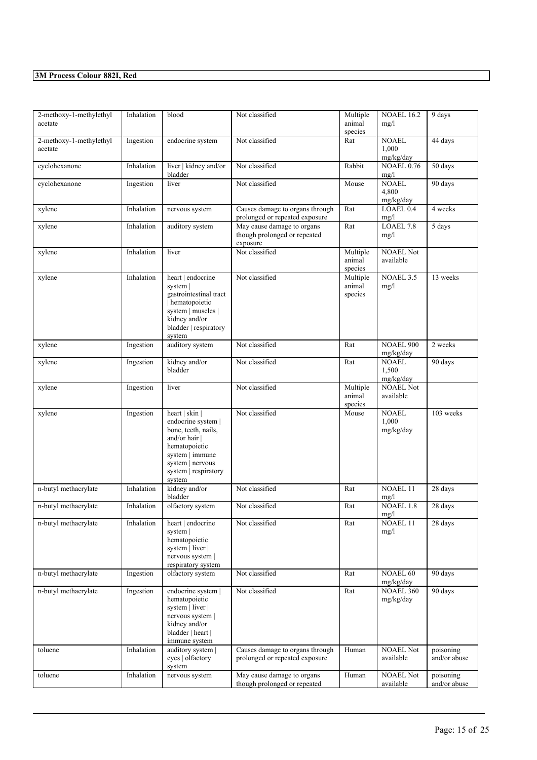| 2-methoxy-1-methylethyl<br>acetate | Inhalation | blood                                                                                                                                                                    | Not classified                                                         | Multiple<br>animal<br>species | <b>NOAEL 16.2</b><br>mg/l              | 9 days                    |
|------------------------------------|------------|--------------------------------------------------------------------------------------------------------------------------------------------------------------------------|------------------------------------------------------------------------|-------------------------------|----------------------------------------|---------------------------|
| 2-methoxy-1-methylethyl<br>acetate | Ingestion  | endocrine system                                                                                                                                                         | Not classified                                                         | Rat                           | NOAEL<br>1,000<br>mg/kg/day            | 44 days                   |
| cyclohexanone                      | Inhalation | liver   kidney and/or<br>bladder                                                                                                                                         | Not classified                                                         | Rabbit                        | $\overline{\text{NOAEL}}$ 0.76<br>mg/l | 50 days                   |
| cyclohexanone                      | Ingestion  | liver                                                                                                                                                                    | Not classified                                                         | Mouse                         | <b>NOAEL</b><br>4,800<br>mg/kg/day     | 90 days                   |
| xylene                             | Inhalation | nervous system                                                                                                                                                           | Causes damage to organs through<br>prolonged or repeated exposure      | Rat                           | LOAEL 0.4<br>mg/l                      | 4 weeks                   |
| xylene                             | Inhalation | auditory system                                                                                                                                                          | May cause damage to organs<br>though prolonged or repeated<br>exposure | Rat                           | LOAEL 7.8<br>mg/l                      | 5 days                    |
| xylene                             | Inhalation | liver                                                                                                                                                                    | Not classified                                                         | Multiple<br>animal<br>species | <b>NOAEL Not</b><br>available          |                           |
| xylene                             | Inhalation | heart   endocrine<br>system<br>gastrointestinal tract<br>hematopoietic<br>system   muscles  <br>kidney and/or<br>bladder   respiratory<br>system                         | Not classified                                                         | Multiple<br>animal<br>species | <b>NOAEL 3.5</b><br>mg/l               | 13 weeks                  |
| xylene                             | Ingestion  | auditory system                                                                                                                                                          | Not classified                                                         | Rat                           | <b>NOAEL 900</b><br>mg/kg/day          | 2 weeks                   |
| xylene                             | Ingestion  | kidney and/or<br>bladder                                                                                                                                                 | Not classified                                                         | Rat                           | <b>NOAEL</b><br>1,500<br>mg/kg/day     | 90 days                   |
| xylene                             | Ingestion  | liver                                                                                                                                                                    | Not classified                                                         | Multiple<br>animal<br>species | NOAEL Not<br>available                 |                           |
| xylene                             | Ingestion  | heart   skin  <br>endocrine system  <br>bone, teeth, nails,<br>and/or hair $ $<br>hematopoietic<br>system   immune<br>system   nervous<br>system   respiratory<br>system | Not classified                                                         | Mouse                         | <b>NOAEL</b><br>1,000<br>mg/kg/day     | 103 weeks                 |
| n-butyl methacrylate               | Inhalation | kidney and/or<br>bladder                                                                                                                                                 | Not classified                                                         | Rat                           | <b>NOAEL 11</b><br>mg/l                | 28 days                   |
| n-butyl methacrylate               | Inhalation | olfactory system                                                                                                                                                         | Not classified                                                         | Rat                           | <b>NOAEL 1.8</b><br>mg/l               | 28 days                   |
| n-butyl methacrylate               | Inhalation | heart   endocrine<br>system  <br>hematopoietic<br>system   liver  <br>nervous system  <br>respiratory system                                                             | Not classified                                                         | Rat                           | <b>NOAEL 11</b><br>mg/l                | 28 days                   |
| n-butyl methacrylate               | Ingestion  | olfactory system                                                                                                                                                         | Not classified                                                         | Rat                           | <b>NOAEL 60</b><br>mg/kg/day           | 90 days                   |
| n-butyl methacrylate               | Ingestion  | endocrine system  <br>hematopoietic<br>system   liver  <br>nervous system  <br>kidney and/or<br>bladder   heart  <br>immune system                                       | Not classified                                                         | Rat                           | <b>NOAEL 360</b><br>mg/kg/day          | 90 days                   |
| toluene                            | Inhalation | auditory system  <br>eyes   olfactory<br>system                                                                                                                          | Causes damage to organs through<br>prolonged or repeated exposure      | Human                         | <b>NOAEL Not</b><br>available          | poisoning<br>and/or abuse |
| toluene                            | Inhalation | nervous system                                                                                                                                                           | May cause damage to organs<br>though prolonged or repeated             | Human                         | <b>NOAEL Not</b><br>available          | poisoning<br>and/or abuse |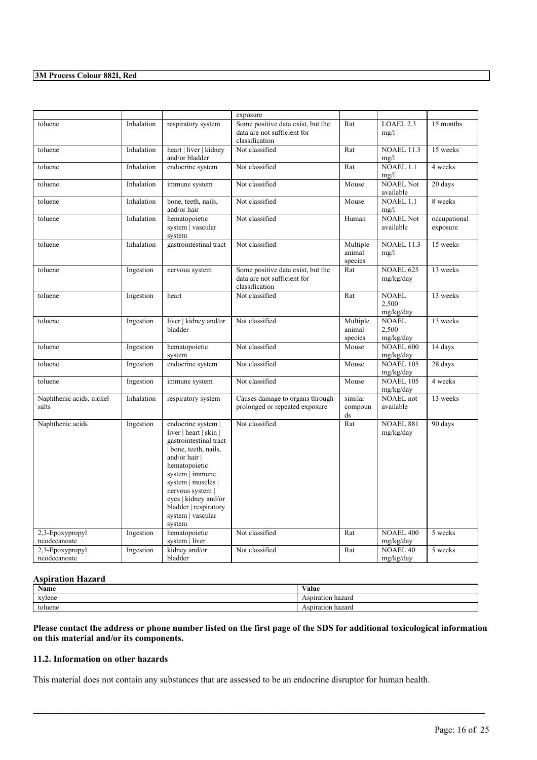|                                   |            |                                                                                                                                                                                                                                                                                    | exposure                                                                           |                               |                                    |                          |
|-----------------------------------|------------|------------------------------------------------------------------------------------------------------------------------------------------------------------------------------------------------------------------------------------------------------------------------------------|------------------------------------------------------------------------------------|-------------------------------|------------------------------------|--------------------------|
| toluene                           | Inhalation | respiratory system                                                                                                                                                                                                                                                                 | Some positive data exist, but the<br>data are not sufficient for<br>classification | Rat                           | LOAEL 2.3<br>mg/l                  | 15 months                |
| toluene                           | Inhalation | heart   liver   kidney<br>and/or bladder                                                                                                                                                                                                                                           | Not classified                                                                     | Rat                           | <b>NOAEL 11.3</b><br>mg/l          | 15 weeks                 |
| toluene                           | Inhalation | endocrine system                                                                                                                                                                                                                                                                   | Not classified                                                                     | Rat                           | <b>NOAEL 1.1</b><br>mg/l           | 4 weeks                  |
| toluene                           | Inhalation | immune system                                                                                                                                                                                                                                                                      | Not classified                                                                     | Mouse                         | <b>NOAEL Not</b><br>available      | 20 days                  |
| toluene                           | Inhalation | bone, teeth, nails,<br>and/or hair                                                                                                                                                                                                                                                 | Not classified                                                                     | Mouse                         | <b>NOAEL 1.1</b><br>mg/l           | 8 weeks                  |
| toluene                           | Inhalation | hematopoietic<br>system   vascular<br>system                                                                                                                                                                                                                                       | Not classified                                                                     | Human                         | <b>NOAEL Not</b><br>available      | occupational<br>exposure |
| toluene                           | Inhalation | gastrointestinal tract                                                                                                                                                                                                                                                             | Not classified                                                                     | Multiple<br>animal<br>species | <b>NOAEL 11.3</b><br>mg/l          | 15 weeks                 |
| toluene                           | Ingestion  | nervous system                                                                                                                                                                                                                                                                     | Some positive data exist, but the<br>data are not sufficient for<br>classification | Rat                           | <b>NOAEL 625</b><br>mg/kg/day      | 13 weeks                 |
| toluene                           | Ingestion  | heart                                                                                                                                                                                                                                                                              | Not classified                                                                     | Rat                           | <b>NOAEL</b><br>2.500<br>mg/kg/day | 13 weeks                 |
| toluene                           | Ingestion  | liver   kidney and/or<br>bladder                                                                                                                                                                                                                                                   | Not classified                                                                     | Multiple<br>animal<br>species | <b>NOAEL</b><br>2.500<br>mg/kg/day | 13 weeks                 |
| toluene                           | Ingestion  | hematopoietic<br>system                                                                                                                                                                                                                                                            | Not classified                                                                     | Mouse                         | <b>NOAEL 600</b><br>mg/kg/day      | 14 days                  |
| toluene                           | Ingestion  | endocrine system                                                                                                                                                                                                                                                                   | Not classified                                                                     | Mouse                         | <b>NOAEL 105</b><br>mg/kg/day      | 28 days                  |
| toluene                           | Ingestion  | immune system                                                                                                                                                                                                                                                                      | Not classified                                                                     | Mouse                         | <b>NOAEL 105</b><br>mg/kg/day      | 4 weeks                  |
| Naphthenic acids, nickel<br>salts | Inhalation | respiratory system                                                                                                                                                                                                                                                                 | Causes damage to organs through<br>prolonged or repeated exposure                  | similar<br>compoun<br>ds      | <b>NOAEL</b> not<br>available      | 13 weeks                 |
| Naphthenic acids                  | Ingestion  | endocrine system  <br>liver $ $ heart $ $ skin $ $<br>gastrointestinal tract<br>bone, teeth, nails,<br>and/or hair  <br>hematopoietic<br>system   immune<br>system   muscles  <br>nervous system  <br>eyes   kidney and/or<br>bladder   respiratory<br>system   vascular<br>system | Not classified                                                                     | Rat                           | <b>NOAEL 881</b><br>mg/kg/day      | 90 days                  |
| 2,3-Epoxypropyl<br>neodecanoate   | Ingestion  | hematopoietic<br>system liver                                                                                                                                                                                                                                                      | Not classified                                                                     | Rat                           | <b>NOAEL 400</b><br>mg/kg/day      | 5 weeks                  |
| 2,3-Epoxypropyl<br>neodecanoate   | Ingestion  | kidney and/or<br>bladder                                                                                                                                                                                                                                                           | Not classified                                                                     | Rat                           | <b>NOAEL 40</b><br>mg/kg/day       | 5 weeks                  |

### **Aspiration Hazard**

| $\mathbf{X}$<br><b>Name</b> | <b>**</b> *<br>Value |
|-----------------------------|----------------------|
| xylene                      | Aspiration<br>hazard |
| toluene                     | Aspiration<br>hazard |

Please contact the address or phone number listed on the first page of the SDS for additional toxicological information **on this material and/or its components.**

 $\mathcal{L}_\mathcal{L} = \mathcal{L}_\mathcal{L} = \mathcal{L}_\mathcal{L} = \mathcal{L}_\mathcal{L} = \mathcal{L}_\mathcal{L} = \mathcal{L}_\mathcal{L} = \mathcal{L}_\mathcal{L} = \mathcal{L}_\mathcal{L} = \mathcal{L}_\mathcal{L} = \mathcal{L}_\mathcal{L} = \mathcal{L}_\mathcal{L} = \mathcal{L}_\mathcal{L} = \mathcal{L}_\mathcal{L} = \mathcal{L}_\mathcal{L} = \mathcal{L}_\mathcal{L} = \mathcal{L}_\mathcal{L} = \mathcal{L}_\mathcal{L}$ 

### **11.2. Information on other hazards**

This material does not contain any substances that are assessed to be an endocrine disruptor for human health.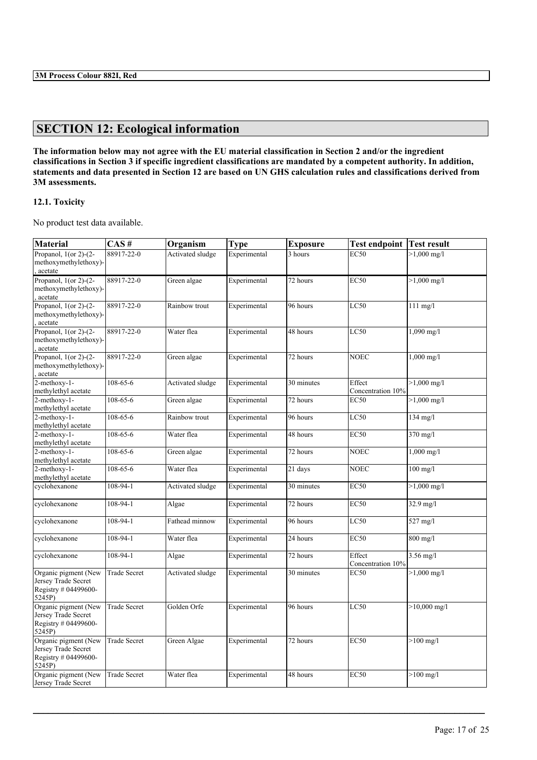# **SECTION 12: Ecological information**

The information below may not agree with the EU material classification in Section 2 and/or the ingredient classifications in Section 3 if specific ingredient classifications are mandated by a competent authority. In addition, statements and data presented in Section 12 are based on UN GHS calculation rules and classifications derived from **3M assessments.**

### **12.1. Toxicity**

No product test data available.

| <b>Material</b>                                                               | CAS#                | Organism         | <b>Type</b>  | <b>Exposure</b> | <b>Test endpoint</b>        | <b>Test result</b>    |
|-------------------------------------------------------------------------------|---------------------|------------------|--------------|-----------------|-----------------------------|-----------------------|
| Propanol, $1$ (or 2)- $(2-$<br>methoxymethylethoxy)-<br>acetate               | 88917-22-0          | Activated sludge | Experimental | 3 hours         | <b>EC50</b>                 | $>1,000 \text{ mg/l}$ |
| Propanol, $1$ (or 2)-(2-<br>methoxymethylethoxy)-<br>acetate                  | 88917-22-0          | Green algae      | Experimental | 72 hours        | <b>EC50</b>                 | $>1,000 \text{ mg/l}$ |
| Propanol, $1$ (or 2)-(2-<br>methoxymethylethoxy)-<br>acetate                  | 88917-22-0          | Rainbow trout    | Experimental | 96 hours        | LC50                        | $111$ mg/l            |
| Propanol, $1$ (or 2)-(2-<br>methoxymethylethoxy)-<br>acetate                  | 88917-22-0          | Water flea       | Experimental | 48 hours        | LC50                        | $1,090$ mg/l          |
| Propanol, $1$ (or 2)-(2-<br>methoxymethylethoxy)-<br>acetate                  | 88917-22-0          | Green algae      | Experimental | 72 hours        | <b>NOEC</b>                 | $1,000 \text{ mg/l}$  |
| $2$ -methoxy-1-<br>methylethyl acetate                                        | $108 - 65 - 6$      | Activated sludge | Experimental | 30 minutes      | Effect<br>Concentration 10% | $>1,000$ mg/l         |
| 2-methoxy-1-<br>methylethyl acetate                                           | 108-65-6            | Green algae      | Experimental | 72 hours        | <b>EC50</b>                 | $>1,000$ mg/l         |
| 2-methoxy-1-<br>methylethyl acetate                                           | 108-65-6            | Rainbow trout    | Experimental | 96 hours        | LC50                        | $134$ mg/l            |
| 2-methoxy-1-<br>methylethyl acetate                                           | 108-65-6            | Water flea       | Experimental | 48 hours        | <b>EC50</b>                 | 370 mg/l              |
| 2-methoxy-1-<br>methylethyl acetate                                           | 108-65-6            | Green algae      | Experimental | 72 hours        | <b>NOEC</b>                 | $1,000 \text{ mg/l}$  |
| 2-methoxy-1-<br>methylethyl acetate                                           | 108-65-6            | Water flea       | Experimental | 21 days         | <b>NOEC</b>                 | $100$ mg/l            |
| cyclohexanone                                                                 | 108-94-1            | Activated sludge | Experimental | 30 minutes      | <b>EC50</b>                 | $>1,000 \text{ mg/l}$ |
| cyclohexanone                                                                 | 108-94-1            | Algae            | Experimental | 72 hours        | <b>EC50</b>                 | 32.9 mg/l             |
| cyclohexanone                                                                 | 108-94-1            | Fathead minnow   | Experimental | 96 hours        | LC50                        | 527 mg/l              |
| cyclohexanone                                                                 | 108-94-1            | Water flea       | Experimental | 24 hours        | EC50                        | $800$ mg/l            |
| cyclohexanone                                                                 | 108-94-1            | Algae            | Experimental | 72 hours        | Effect<br>Concentration 10% | $3.56$ mg/l           |
| Organic pigment (New<br>Jersey Trade Secret<br>Registry # 04499600-<br>5245P) | <b>Trade Secret</b> | Activated sludge | Experimental | 30 minutes      | <b>EC50</b>                 | $>1,000 \text{ mg/l}$ |
| Organic pigment (New<br>Jersey Trade Secret<br>Registry # 04499600-<br>5245P) | <b>Trade Secret</b> | Golden Orfe      | Experimental | 96 hours        | <b>LC50</b>                 | $>10,000$ mg/l        |
| Organic pigment (New<br>Jersey Trade Secret<br>Registry # 04499600-<br>5245P) | <b>Trade Secret</b> | Green Algae      | Experimental | 72 hours        | <b>EC50</b>                 | $>100$ mg/l           |
| Organic pigment (New<br>Jersey Trade Secret                                   | <b>Trade Secret</b> | Water flea       | Experimental | 48 hours        | <b>EC50</b>                 | $>100$ mg/l           |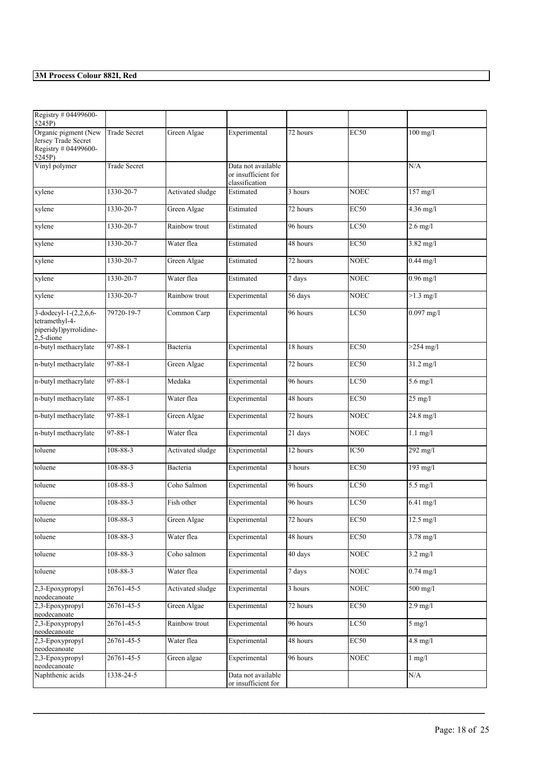| Registry # 04499600-                                              |                     |                  |                                                             |          |             |                     |
|-------------------------------------------------------------------|---------------------|------------------|-------------------------------------------------------------|----------|-------------|---------------------|
| 5245P)<br>Organic pigment (New                                    | <b>Trade Secret</b> | Green Algae      | Experimental                                                | 72 hours | <b>EC50</b> | $100$ mg/l          |
| Jersey Trade Secret                                               |                     |                  |                                                             |          |             |                     |
| Registry # 04499600-                                              |                     |                  |                                                             |          |             |                     |
| 5245P)                                                            |                     |                  |                                                             |          |             |                     |
| Vinyl polymer                                                     | <b>Trade Secret</b> |                  | Data not available<br>or insufficient for<br>classification |          |             | N/A                 |
| xylene                                                            | 1330-20-7           | Activated sludge | Estimated                                                   | 3 hours  | <b>NOEC</b> | $157$ mg/l          |
| xylene                                                            | 1330-20-7           | Green Algae      | Estimated                                                   | 72 hours | <b>EC50</b> | $4.36$ mg/l         |
| xylene                                                            | 1330-20-7           | Rainbow trout    | Estimated                                                   | 96 hours | LC50        | $2.6$ mg/l          |
| xylene                                                            | 1330-20-7           | Water flea       | Estimated                                                   | 48 hours | <b>EC50</b> | 3.82 mg/l           |
| xylene                                                            | 1330-20-7           | Green Algae      | Estimated                                                   | 72 hours | <b>NOEC</b> | $0.44$ mg/l         |
| xylene                                                            | 1330-20-7           | Water flea       | Estimated                                                   | 7 days   | <b>NOEC</b> | $0.96$ mg/l         |
| xylene                                                            | 1330-20-7           | Rainbow trout    | Experimental                                                | 56 days  | <b>NOEC</b> | $>1.3$ mg/l         |
| 3-dodecyl-1-(2,2,6,6-<br>tetramethyl-4-<br>piperidyl)pyrrolidine- | 79720-19-7          | Common Carp      | Experimental                                                | 96 hours | LC50        | $0.097$ mg/l        |
| 2,5-dione<br>n-butyl methacrylate                                 | 97-88-1             | Bacteria         | Experimental                                                | 18 hours | <b>EC50</b> | $>254$ mg/l         |
| n-butyl methacrylate                                              | 97-88-1             | Green Algae      | Experimental                                                | 72 hours | <b>EC50</b> | 31.2 mg/l           |
|                                                                   |                     |                  |                                                             |          |             |                     |
| n-butyl methacrylate                                              | $97 - 88 - 1$       | Medaka           | Experimental                                                | 96 hours | LC50        | $5.6$ mg/l          |
| n-butyl methacrylate                                              | $97 - 88 - 1$       | Water flea       | Experimental                                                | 48 hours | <b>EC50</b> | $25$ mg/l           |
| n-butyl methacrylate                                              | $97 - 88 - 1$       | Green Algae      | Experimental                                                | 72 hours | <b>NOEC</b> | 24.8 mg/l           |
| n-butyl methacrylate                                              | $97 - 88 - 1$       | Water flea       | Experimental                                                | 21 days  | <b>NOEC</b> | $1.1$ mg/l          |
| toluene                                                           | 108-88-3            | Activated sludge | Experimental                                                | 12 hours | IC50        | 292 mg/l            |
| toluene                                                           | $108 - 88 - 3$      | Bacteria         | Experimental                                                | 3 hours  | <b>EC50</b> | 193 mg/l            |
| toluene                                                           | 108-88-3            | Coho Salmon      | Experimental                                                | 96 hours | LC50        | 5.5 mg/l            |
| toluene                                                           | 108-88-3            | Fish other       | Experimental                                                | 96 hours | LC50        | $6.41$ mg/l         |
| toluene                                                           | 108-88-3            | Green Algae      | Experimental                                                | 72 hours | <b>EC50</b> | $12.5 \text{ mg/l}$ |
| toluene                                                           | 108-88-3            | Water flea       | Experimental                                                | 48 hours | <b>EC50</b> | $3.78 \text{ mg}/1$ |
| toluene                                                           | 108-88-3            | Coho salmon      | Experimental                                                | 40 days  | <b>NOEC</b> | $3.2$ mg/l          |
| toluene                                                           | $108 - 88 - 3$      | Water flea       | Experimental                                                | 7 days   | <b>NOEC</b> | $0.74$ mg/l         |
| 2,3-Epoxypropyl<br>neodecanoate                                   | 26761-45-5          | Activated sludge | Experimental                                                | 3 hours  | <b>NOEC</b> | $500$ mg/l          |
| 2.3-Epoxypropyl<br>neodecanoate                                   | 26761-45-5          | Green Algae      | Experimental                                                | 72 hours | EC50        | $2.9$ mg/l          |
| 2,3-Epoxypropyl<br>neodecanoate                                   | 26761-45-5          | Rainbow trout    | Experimental                                                | 96 hours | LC50        | $5 \text{ mg/l}$    |
| 2,3-Epoxypropyl<br>neodecanoate                                   | 26761-45-5          | Water flea       | Experimental                                                | 48 hours | <b>EC50</b> | $4.8$ mg/l          |
| 2,3-Epoxypropyl<br>neodecanoate                                   | 26761-45-5          | Green algae      | Experimental                                                | 96 hours | <b>NOEC</b> | $1$ mg/ $1$         |
| Naphthenic acids                                                  | 1338-24-5           |                  | Data not available<br>or insufficient for                   |          |             | N/A                 |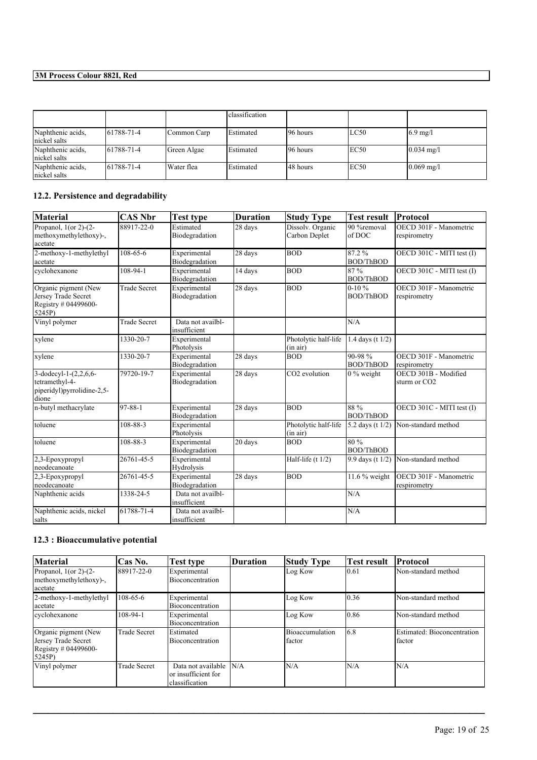|                                   |                   |             | classification |           |      |                      |
|-----------------------------------|-------------------|-------------|----------------|-----------|------|----------------------|
| Naphthenic acids,<br>nickel salts | $161788 - 71 - 4$ | Common Carp | Estimated      | 196 hours | LC50 | $6.9$ mg/l           |
| Naphthenic acids,<br>nickel salts | $161788 - 71 - 4$ | Green Algae | Estimated      | 196 hours | EC50 | $0.034 \text{ mg/l}$ |
| Naphthenic acids,<br>nickel salts | 61788-71-4        | Water flea  | Estimated      | 148 hours | EC50 | $0.069$ mg/l         |

### **12.2. Persistence and degradability**

| <b>Material</b>                                                                   | <b>CAS Nbr</b>      | <b>Test type</b>                  | <b>Duration</b>      | <b>Study Type</b>                 | <b>Test result</b>             | Protocol                                         |
|-----------------------------------------------------------------------------------|---------------------|-----------------------------------|----------------------|-----------------------------------|--------------------------------|--------------------------------------------------|
| Propanol, $1$ (or 2)-(2-<br>methoxymethylethoxy)-,<br>acetate                     | 88917-22-0          | Estimated<br>Biodegradation       | 28 days              | Dissolv. Organic<br>Carbon Deplet | 90 %removal<br>of DOC          | OECD 301F - Manometric<br>respirometry           |
| 2-methoxy-1-methylethyl<br>acetate                                                | 108-65-6            | Experimental<br>Biodegradation    | 28 days              | <b>BOD</b>                        | 87.2%<br><b>BOD/ThBOD</b>      | OECD 301C - MITI test (I)                        |
| cyclohexanone                                                                     | 108-94-1            | Experimental<br>Biodegradation    | 14 days              | <b>BOD</b>                        | 87%<br><b>BOD/ThBOD</b>        | OECD 301C - MITI test (I)                        |
| Organic pigment (New<br>Jersey Trade Secret<br>Registry # 04499600-<br>5245P)     | <b>Trade Secret</b> | Experimental<br>Biodegradation    | 28 days              | <b>BOD</b>                        | $0-10%$<br><b>BOD/ThBOD</b>    | OECD 301F - Manometric<br>respirometry           |
| Vinyl polymer                                                                     | <b>Trade Secret</b> | Data not availbl-<br>insufficient |                      |                                   | N/A                            |                                                  |
| xylene                                                                            | 1330-20-7           | Experimental<br>Photolysis        |                      | Photolytic half-life<br>(in air)  | 1.4 days (t $1/2$ )            |                                                  |
| xylene                                                                            | 1330-20-7           | Experimental<br>Biodegradation    | 28 days              | <b>BOD</b>                        | $90 - 98%$<br><b>BOD/ThBOD</b> | OECD 301F - Manometric<br>respirometry           |
| 3-dodecyl-1- $(2,2,6,6-$<br>tetramethyl-4-<br>piperidyl)pyrrolidine-2,5-<br>dione | 79720-19-7          | Experimental<br>Biodegradation    | 28 days              | CO2 evolution                     | $\sqrt{0}$ % weight            | OECD 301B - Modified<br>sturm or CO <sub>2</sub> |
| n-butyl methacrylate                                                              | 97-88-1             | Experimental<br>Biodegradation    | $\overline{28}$ days | <b>BOD</b>                        | 88 %<br><b>BOD/ThBOD</b>       | OECD 301C - MITI test (I)                        |
| toluene                                                                           | 108-88-3            | Experimental<br>Photolysis        |                      | Photolytic half-life<br>(in air)  | 5.2 days (t 1/2)               | Non-standard method                              |
| toluene                                                                           | 108-88-3            | Experimental<br>Biodegradation    | 20 days              | <b>BOD</b>                        | 80 %<br><b>BOD/ThBOD</b>       |                                                  |
| 2,3-Epoxypropyl<br>neodecanoate                                                   | 26761-45-5          | Experimental<br>Hydrolysis        |                      | Half-life $(t 1/2)$               | 9.9 days (t 1/2)               | Non-standard method                              |
| 2,3-Epoxypropyl<br>neodecanoate                                                   | 26761-45-5          | Experimental<br>Biodegradation    | 28 days              | <b>BOD</b>                        | 11.6 $%$ weight                | OECD 301F - Manometric<br>respirometry           |
| Naphthenic acids                                                                  | 1338-24-5           | Data not availbl-<br>insufficient |                      |                                   | N/A                            |                                                  |
| Naphthenic acids, nickel<br>salts                                                 | 61788-71-4          | Data not availbl-<br>insufficient |                      |                                   | N/A                            |                                                  |

### **12.3 : Bioaccumulative potential**

| <b>Material</b>                                                                  | Cas No.             | Test type                                                   | Duration | <b>Study Type</b>         | <b>Test result</b> | <b>Protocol</b>                               |
|----------------------------------------------------------------------------------|---------------------|-------------------------------------------------------------|----------|---------------------------|--------------------|-----------------------------------------------|
| Propanol, $1$ (or 2)- $(2-$<br>methoxymethylethoxy)-,<br>acetate                 | 88917-22-0          | Experimental<br><b>Bioconcentration</b>                     |          | Log Kow                   | 10.61              | Non-standard method                           |
| 2-methoxy-1-methylethyl<br>acetate                                               | 108-65-6            | Experimental<br>Bioconcentration                            |          | Log Kow                   | 10.36              | Non-standard method                           |
| cyclohexanone                                                                    | 108-94-1            | Experimental<br>Bioconcentration                            |          | Log Kow                   | 10.86              | Non-standard method                           |
| Organic pigment (New<br>Jersey Trade Secret<br>Registry $\#$ 04499600-<br>5245P) | <b>Trade Secret</b> | Estimated<br>Bioconcentration                               |          | Bioaccumulation<br>factor | 16.8               | Estimated: Bioconcentration<br><b>Ifactor</b> |
| Vinyl polymer                                                                    | <b>Trade Secret</b> | Data not available<br>or insufficient for<br>classification | N/A      | N/A                       | N/A                | N/A                                           |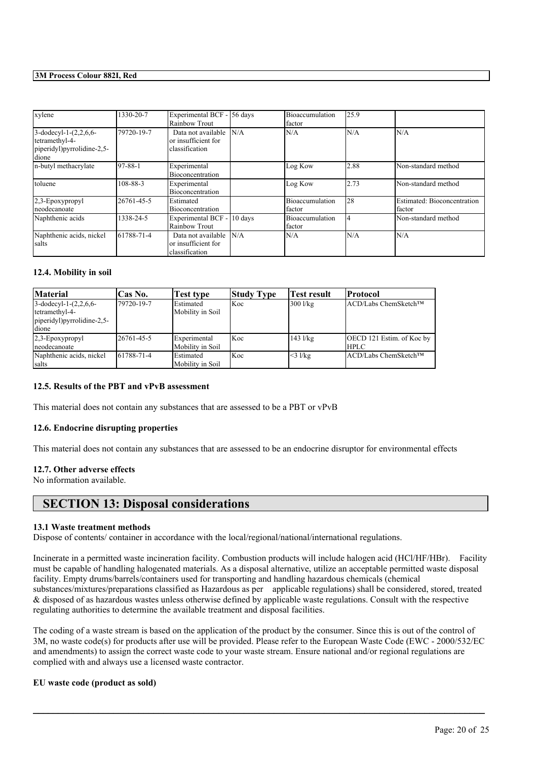| xylene                                                                            | 1330-20-7     | Experimental BCF - 56 days<br>Rainbow Trout                 |     | Bioaccumulation<br>factor | 125.9 |                                       |
|-----------------------------------------------------------------------------------|---------------|-------------------------------------------------------------|-----|---------------------------|-------|---------------------------------------|
| 3-dodecyl-1- $(2,2,6,6-$<br>tetramethyl-4-<br>piperidyl)pyrrolidine-2,5-<br>dione | 79720-19-7    | Data not available<br>or insufficient for<br>classification | N/A | N/A                       | N/A   | N/A                                   |
| n-butyl methacrylate                                                              | $97 - 88 - 1$ | Experimental<br><b>Bioconcentration</b>                     |     | Log Kow                   | 2.88  | Non-standard method                   |
| toluene                                                                           | 108-88-3      | Experimental<br>Bioconcentration                            |     | Log Kow                   | 2.73  | Non-standard method                   |
| 2,3-Epoxypropyl<br>neodecanoate                                                   | 26761-45-5    | Estimated<br><b>Bioconcentration</b>                        |     | Bioaccumulation<br>factor | 28    | Estimated: Bioconcentration<br>factor |
| Naphthenic acids                                                                  | 1338-24-5     | Experimental BCF - 10 days<br><b>Rainbow Trout</b>          |     | Bioaccumulation<br>factor | 4     | Non-standard method                   |
| Naphthenic acids, nickel<br>salts                                                 | 61788-71-4    | Data not available<br>or insufficient for<br>classification | N/A | N/A                       | N/A   | N/A                                   |

### **12.4. Mobility in soil**

| <b>Material</b>                                                                  | <b>Cas No.</b> | Test type                             | <b>Study Type</b> | Test result  | Protocol                                  |
|----------------------------------------------------------------------------------|----------------|---------------------------------------|-------------------|--------------|-------------------------------------------|
| $3-dodecyl-1-(2,2,6,6-$<br>tetramethyl-4-<br>piperidyl)pyrrolidine-2,5-<br>dione | 179720-19-7    | Estimated<br>Mobility in Soil         | Koc               | 300 l/kg     | ACD/Labs ChemSketch™                      |
| $2,3$ -Epoxypropyl<br>neodecanoate                                               | 26761-45-5     | Experimental<br>Mobility in Soil      | Koc               | $143$ $1/kg$ | OECD 121 Estim. of Koc by<br><b>IHPLC</b> |
| Naphthenic acids, nickel<br>salts                                                | 61788-71-4     | <b>IEstimated</b><br>Mobility in Soil | Koc               | $<$ 3 l/kg   | lACD/Labs ChemSketch™                     |

#### **12.5. Results of the PBT and vPvB assessment**

This material does not contain any substances that are assessed to be a PBT or vPvB

#### **12.6. Endocrine disrupting properties**

This material does not contain any substances that are assessed to be an endocrine disruptor for environmental effects

#### **12.7. Other adverse effects**

No information available.

### **SECTION 13: Disposal considerations**

#### **13.1 Waste treatment methods**

Dispose of contents/ container in accordance with the local/regional/national/international regulations.

Incinerate in a permitted waste incineration facility. Combustion products will include halogen acid (HCl/HF/HBr). Facility must be capable of handling halogenated materials. As a disposal alternative, utilize an acceptable permitted waste disposal facility. Empty drums/barrels/containers used for transporting and handling hazardous chemicals (chemical substances/mixtures/preparations classified as Hazardous as per applicable regulations) shall be considered, stored, treated & disposed of as hazardous wastes unless otherwise defined by applicable waste regulations. Consult with the respective regulating authorities to determine the available treatment and disposal facilities.

The coding of a waste stream is based on the application of the product by the consumer. Since this is out of the control of 3M, no waste code(s) for products after use will be provided. Please refer to the European Waste Code (EWC - 2000/532/EC and amendments) to assign the correct waste code to your waste stream. Ensure national and/or regional regulations are complied with and always use a licensed waste contractor.

 $\mathcal{L}_\mathcal{L} = \mathcal{L}_\mathcal{L} = \mathcal{L}_\mathcal{L} = \mathcal{L}_\mathcal{L} = \mathcal{L}_\mathcal{L} = \mathcal{L}_\mathcal{L} = \mathcal{L}_\mathcal{L} = \mathcal{L}_\mathcal{L} = \mathcal{L}_\mathcal{L} = \mathcal{L}_\mathcal{L} = \mathcal{L}_\mathcal{L} = \mathcal{L}_\mathcal{L} = \mathcal{L}_\mathcal{L} = \mathcal{L}_\mathcal{L} = \mathcal{L}_\mathcal{L} = \mathcal{L}_\mathcal{L} = \mathcal{L}_\mathcal{L}$ 

### **EU waste code (product as sold)**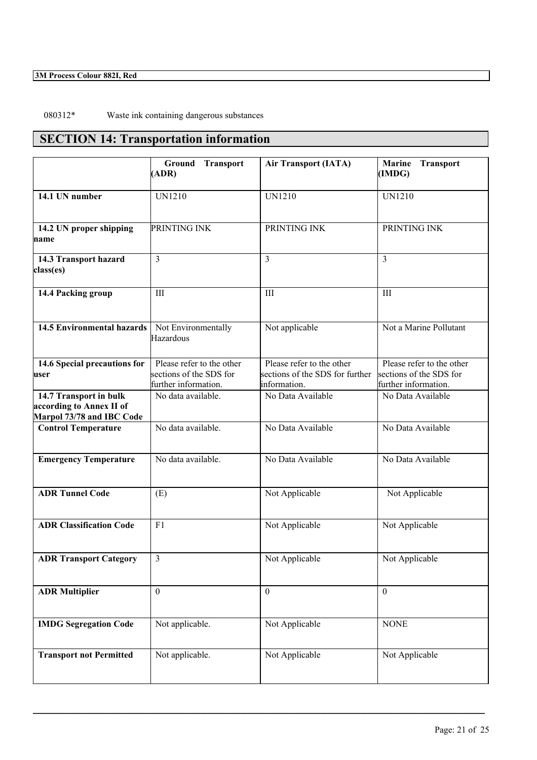080312\* Waste ink containing dangerous substances

# **SECTION 14: Transportation information**

|                                                                                 | Ground<br><b>Transport</b><br>(ADR)                                          | <b>Air Transport (IATA)</b>                                                  | <b>Marine</b><br><b>Transport</b><br>(IMDG)                                  |
|---------------------------------------------------------------------------------|------------------------------------------------------------------------------|------------------------------------------------------------------------------|------------------------------------------------------------------------------|
| 14.1 UN number                                                                  | <b>UN1210</b>                                                                | <b>UN1210</b>                                                                | <b>UN1210</b>                                                                |
| 14.2 UN proper shipping<br>name                                                 | PRINTING INK                                                                 | PRINTING INK                                                                 | PRINTING INK                                                                 |
| 14.3 Transport hazard<br>class(es)                                              | 3                                                                            | 3                                                                            | $\overline{3}$                                                               |
| 14.4 Packing group                                                              | III                                                                          | III                                                                          | III                                                                          |
| 14.5 Environmental hazards                                                      | Not Environmentally<br>Hazardous                                             | Not applicable                                                               | Not a Marine Pollutant                                                       |
| 14.6 Special precautions for<br>user                                            | Please refer to the other<br>sections of the SDS for<br>further information. | Please refer to the other<br>sections of the SDS for further<br>information. | Please refer to the other<br>sections of the SDS for<br>further information. |
| 14.7 Transport in bulk<br>according to Annex II of<br>Marpol 73/78 and IBC Code | No data available.                                                           | No Data Available                                                            | No Data Available                                                            |
| <b>Control Temperature</b>                                                      | No data available.                                                           | No Data Available                                                            | No Data Available                                                            |
| <b>Emergency Temperature</b>                                                    | No data available.                                                           | No Data Available                                                            | No Data Available                                                            |
| <b>ADR Tunnel Code</b>                                                          | (E)                                                                          | Not Applicable                                                               | Not Applicable                                                               |
| <b>ADR Classification Code</b>                                                  | F1                                                                           | Not Applicable                                                               | Not Applicable                                                               |
| <b>ADR Transport Category</b>                                                   | $\mathfrak{Z}$                                                               | Not Applicable                                                               | Not Applicable                                                               |
| <b>ADR Multiplier</b>                                                           | $\mathbf{0}$                                                                 | $\mathbf{0}$                                                                 | $\theta$                                                                     |
| <b>IMDG Segregation Code</b>                                                    | Not applicable.                                                              | Not Applicable                                                               | <b>NONE</b>                                                                  |
| <b>Transport not Permitted</b>                                                  | Not applicable.                                                              | Not Applicable                                                               | Not Applicable                                                               |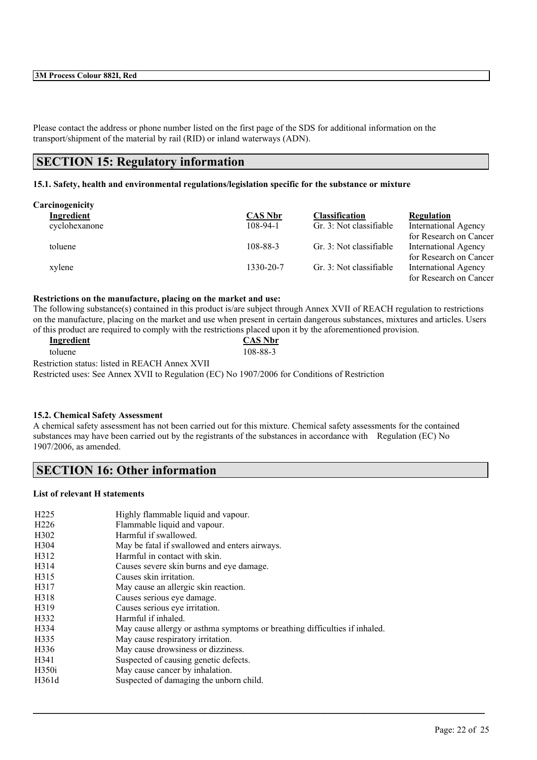Please contact the address or phone number listed on the first page of the SDS for additional information on the transport/shipment of the material by rail (RID) or inland waterways (ADN).

### **SECTION 15: Regulatory information**

### **15.1. Safety, health and environmental regulations/legislation specific for the substance or mixture**

| Carcinogenicity |                |                         |                             |
|-----------------|----------------|-------------------------|-----------------------------|
| Ingredient      | <b>CAS Nbr</b> | <b>Classification</b>   | <b>Regulation</b>           |
| cyclohexanone   | $108-94-1$     | Gr. 3: Not classifiable | <b>International Agency</b> |
|                 |                |                         | for Research on Cancer      |
| toluene         | 108-88-3       | Gr. 3: Not classifiable | <b>International Agency</b> |
|                 |                |                         | for Research on Cancer      |
| xylene          | 1330-20-7      | Gr. 3: Not classifiable | <b>International Agency</b> |
|                 |                |                         | for Research on Cancer      |

#### **Restrictions on the manufacture, placing on the market and use:**

The following substance(s) contained in this product is/are subject through Annex XVII of REACH regulation to restrictions on the manufacture, placing on the market and use when present in certain dangerous substances, mixtures and articles. Users of this product are required to comply with the restrictions placed upon it by the aforementioned provision.

| Ingredient                                     | <b>CAS Nbr</b> |  |
|------------------------------------------------|----------------|--|
| toluene                                        | 108-88-3       |  |
| Restriction status: listed in REACH Annex XVII |                |  |

Restricted uses: See Annex XVII to Regulation (EC) No 1907/2006 for Conditions of Restriction

### **15.2. Chemical Safety Assessment**

A chemical safety assessment has not been carried out for this mixture. Chemical safety assessments for the contained substances may have been carried out by the registrants of the substances in accordance with Regulation (EC) No 1907/2006, as amended.

 $\mathcal{L}_\mathcal{L} = \mathcal{L}_\mathcal{L} = \mathcal{L}_\mathcal{L} = \mathcal{L}_\mathcal{L} = \mathcal{L}_\mathcal{L} = \mathcal{L}_\mathcal{L} = \mathcal{L}_\mathcal{L} = \mathcal{L}_\mathcal{L} = \mathcal{L}_\mathcal{L} = \mathcal{L}_\mathcal{L} = \mathcal{L}_\mathcal{L} = \mathcal{L}_\mathcal{L} = \mathcal{L}_\mathcal{L} = \mathcal{L}_\mathcal{L} = \mathcal{L}_\mathcal{L} = \mathcal{L}_\mathcal{L} = \mathcal{L}_\mathcal{L}$ 

### **SECTION 16: Other information**

#### **List of relevant H statements**

| H <sub>225</sub>  | Highly flammable liquid and vapour.                                        |
|-------------------|----------------------------------------------------------------------------|
| H <sub>226</sub>  | Flammable liquid and vapour.                                               |
| H <sub>3</sub> 02 | Harmful if swallowed.                                                      |
| H <sub>304</sub>  | May be fatal if swallowed and enters airways.                              |
| H312              | Harmful in contact with skin.                                              |
| H314              | Causes severe skin burns and eye damage.                                   |
| H315              | Causes skin irritation.                                                    |
| H317              | May cause an allergic skin reaction.                                       |
| H318              | Causes serious eye damage.                                                 |
| H319              | Causes serious eye irritation.                                             |
| H332              | Harmful if inhaled.                                                        |
| H334              | May cause allergy or asthma symptoms or breathing difficulties if inhaled. |
| H335              | May cause respiratory irritation.                                          |
| H336              | May cause drowsiness or dizziness.                                         |
| H341              | Suspected of causing genetic defects.                                      |
| H350i             | May cause cancer by inhalation.                                            |
| H361d             | Suspected of damaging the unborn child.                                    |
|                   |                                                                            |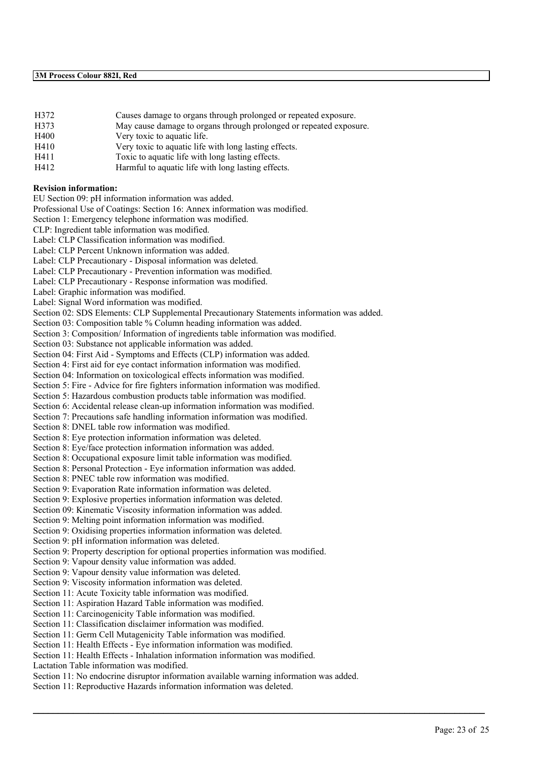- H372 Causes damage to organs through prolonged or repeated exposure.
- H373 May cause damage to organs through prolonged or repeated exposure.
- H400 Very toxic to aquatic life.
- H410 Very toxic to aquatic life with long lasting effects.
- H411 Toxic to aquatic life with long lasting effects.
- H412 Harmful to aquatic life with long lasting effects.

#### **Revision information:**

EU Section 09: pH information information was added.

Professional Use of Coatings: Section 16: Annex information was modified.

Section 1: Emergency telephone information was modified.

CLP: Ingredient table information was modified.

Label: CLP Classification information was modified.

Label: CLP Percent Unknown information was added.

Label: CLP Precautionary - Disposal information was deleted.

Label: CLP Precautionary - Prevention information was modified.

Label: CLP Precautionary - Response information was modified.

Label: Graphic information was modified.

Label: Signal Word information was modified.

Section 02: SDS Elements: CLP Supplemental Precautionary Statements information was added.

Section 03: Composition table % Column heading information was added.

Section 3: Composition/ Information of ingredients table information was modified.

Section 03: Substance not applicable information was added.

Section 04: First Aid - Symptoms and Effects (CLP) information was added.

Section 4: First aid for eye contact information information was modified.

Section 04: Information on toxicological effects information was modified.

Section 5: Fire - Advice for fire fighters information information was modified.

Section 5: Hazardous combustion products table information was modified.

Section 6: Accidental release clean-up information information was modified.

Section 7: Precautions safe handling information information was modified.

Section 8: DNEL table row information was modified.

Section 8: Eye protection information information was deleted.

Section 8: Eye/face protection information information was added.

Section 8: Occupational exposure limit table information was modified.

Section 8: Personal Protection - Eye information information was added.

Section 8: PNEC table row information was modified.

Section 9: Evaporation Rate information information was deleted.

Section 9: Explosive properties information information was deleted.

Section 09: Kinematic Viscosity information information was added.

Section 9: Melting point information information was modified.

Section 9: Oxidising properties information information was deleted.

Section 9: pH information information was deleted.

Section 9: Property description for optional properties information was modified.

Section 9: Vapour density value information was added.

Section 9: Vapour density value information was deleted.

Section 9: Viscosity information information was deleted.

Section 11: Acute Toxicity table information was modified.

Section 11: Aspiration Hazard Table information was modified.

Section 11: Carcinogenicity Table information was modified.

Section 11: Classification disclaimer information was modified.

Section 11: Germ Cell Mutagenicity Table information was modified.

Section 11: Health Effects - Eye information information was modified.

Section 11: Health Effects - Inhalation information information was modified.

Lactation Table information was modified.

Section 11: No endocrine disruptor information available warning information was added.

 $\mathcal{L}_\mathcal{L} = \mathcal{L}_\mathcal{L} = \mathcal{L}_\mathcal{L} = \mathcal{L}_\mathcal{L} = \mathcal{L}_\mathcal{L} = \mathcal{L}_\mathcal{L} = \mathcal{L}_\mathcal{L} = \mathcal{L}_\mathcal{L} = \mathcal{L}_\mathcal{L} = \mathcal{L}_\mathcal{L} = \mathcal{L}_\mathcal{L} = \mathcal{L}_\mathcal{L} = \mathcal{L}_\mathcal{L} = \mathcal{L}_\mathcal{L} = \mathcal{L}_\mathcal{L} = \mathcal{L}_\mathcal{L} = \mathcal{L}_\mathcal{L}$ 

Section 11: Reproductive Hazards information information was deleted.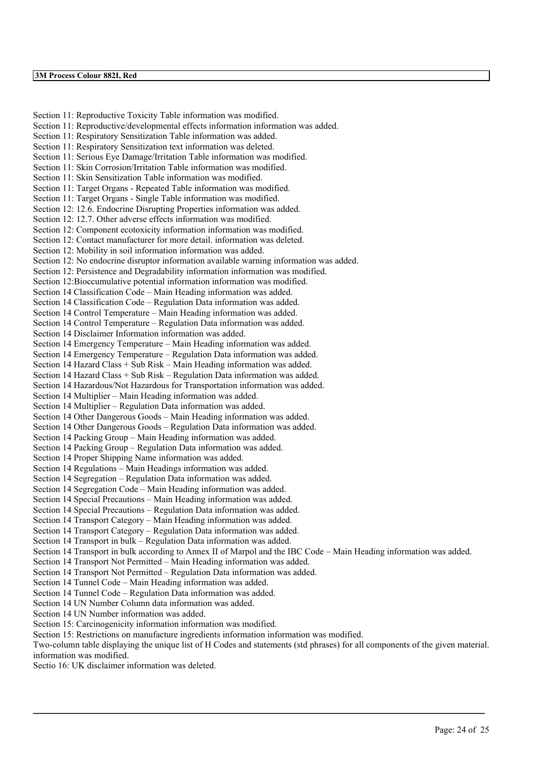Section 11: Reproductive Toxicity Table information was modified. Section 11: Reproductive/developmental effects information information was added. Section 11: Respiratory Sensitization Table information was added. Section 11: Respiratory Sensitization text information was deleted. Section 11: Serious Eye Damage/Irritation Table information was modified. Section 11: Skin Corrosion/Irritation Table information was modified. Section 11: Skin Sensitization Table information was modified. Section 11: Target Organs - Repeated Table information was modified. Section 11: Target Organs - Single Table information was modified. Section 12: 12.6. Endocrine Disrupting Properties information was added. Section 12: 12.7. Other adverse effects information was modified. Section 12: Component ecotoxicity information information was modified. Section 12: Contact manufacturer for more detail. information was deleted. Section 12: Mobility in soil information information was added. Section 12: No endocrine disruptor information available warning information was added. Section 12: Persistence and Degradability information information was modified. Section 12:Bioccumulative potential information information was modified. Section 14 Classification Code – Main Heading information was added. Section 14 Classification Code – Regulation Data information was added. Section 14 Control Temperature – Main Heading information was added. Section 14 Control Temperature – Regulation Data information was added. Section 14 Disclaimer Information information was added. Section 14 Emergency Temperature – Main Heading information was added. Section 14 Emergency Temperature – Regulation Data information was added. Section 14 Hazard Class + Sub Risk – Main Heading information was added. Section 14 Hazard Class + Sub Risk – Regulation Data information was added. Section 14 Hazardous/Not Hazardous for Transportation information was added. Section 14 Multiplier – Main Heading information was added. Section 14 Multiplier – Regulation Data information was added. Section 14 Other Dangerous Goods – Main Heading information was added. Section 14 Other Dangerous Goods – Regulation Data information was added. Section 14 Packing Group – Main Heading information was added. Section 14 Packing Group – Regulation Data information was added. Section 14 Proper Shipping Name information was added. Section 14 Regulations – Main Headings information was added. Section 14 Segregation – Regulation Data information was added. Section 14 Segregation Code – Main Heading information was added. Section 14 Special Precautions – Main Heading information was added. Section 14 Special Precautions – Regulation Data information was added. Section 14 Transport Category – Main Heading information was added. Section 14 Transport Category – Regulation Data information was added. Section 14 Transport in bulk – Regulation Data information was added. Section 14 Transport in bulk according to Annex II of Marpol and the IBC Code – Main Heading information was added. Section 14 Transport Not Permitted – Main Heading information was added. Section 14 Transport Not Permitted – Regulation Data information was added. Section 14 Tunnel Code – Main Heading information was added. Section 14 Tunnel Code – Regulation Data information was added. Section 14 UN Number Column data information was added. Section 14 UN Number information was added. Section 15: Carcinogenicity information information was modified. Section 15: Restrictions on manufacture ingredients information information was modified. Two-column table displaying the unique list of H Codes and statements (std phrases) for all components of the given material. information was modified.

 $\mathcal{L}_\mathcal{L} = \mathcal{L}_\mathcal{L} = \mathcal{L}_\mathcal{L} = \mathcal{L}_\mathcal{L} = \mathcal{L}_\mathcal{L} = \mathcal{L}_\mathcal{L} = \mathcal{L}_\mathcal{L} = \mathcal{L}_\mathcal{L} = \mathcal{L}_\mathcal{L} = \mathcal{L}_\mathcal{L} = \mathcal{L}_\mathcal{L} = \mathcal{L}_\mathcal{L} = \mathcal{L}_\mathcal{L} = \mathcal{L}_\mathcal{L} = \mathcal{L}_\mathcal{L} = \mathcal{L}_\mathcal{L} = \mathcal{L}_\mathcal{L}$ 

Sectio 16: UK disclaimer information was deleted.